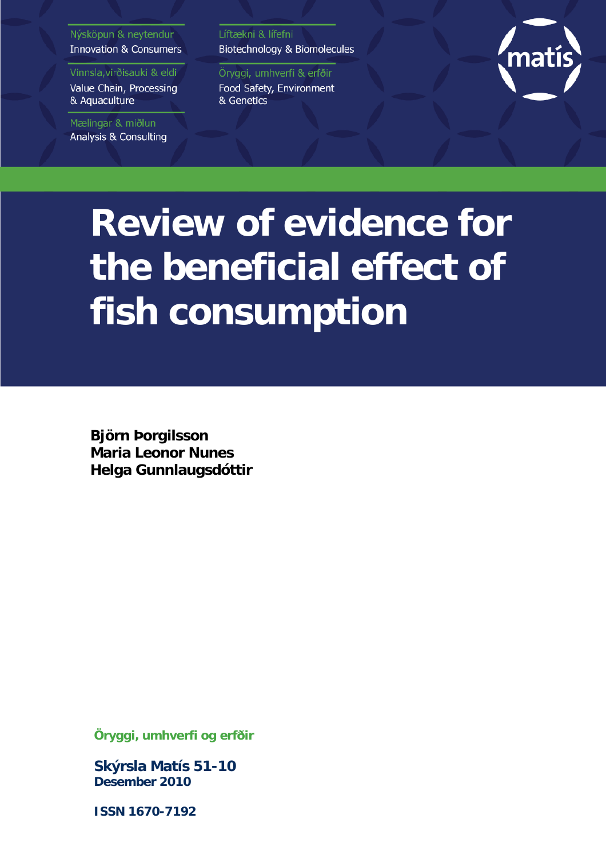#### Nýsköpun & neytendur **Innovation & Consumers**

Vinnsla, virðisauki & eldi

Value Chain, Processing & Aquaculture

Mælingar & miðlun Analysis & Consulting Líftækni & lífefni Biotechnology & Biomolecules

Öryggi, umhverfi & erfðir Food Safety, Environment & Genetics



# **Review of evidence for the beneficial effect of fish consumption**

**Björn Þorgilsson Maria Leonor Nunes Helga Gunnlaugsdóttir**

**Öryggi, umhverfi og erfðir**

**Skýrsla Matís 51-10 Desember 2010**

**ISSN 1670-7192**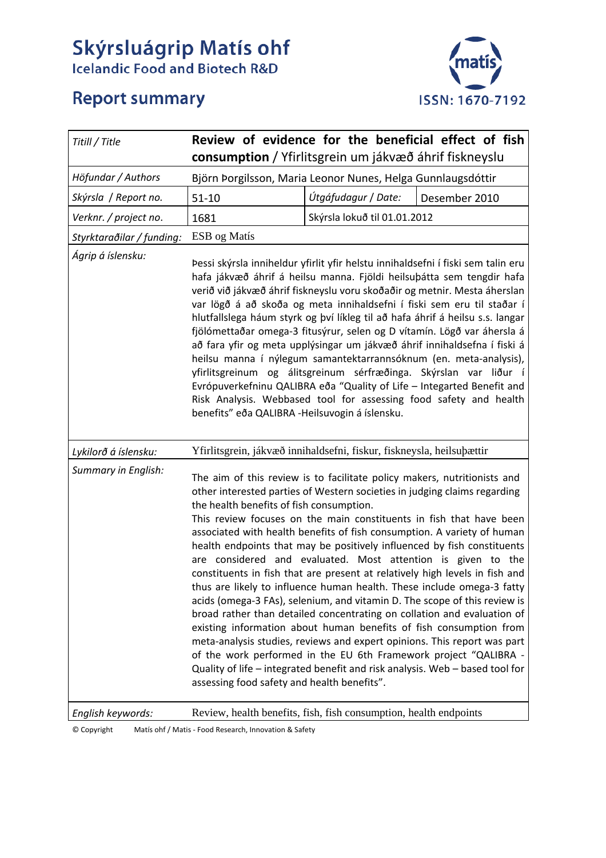# **Skýrsluágrip Matís ohf**<br>Icelandic Food and Biotech R&D



# **Report summary**

| Titill / Title            |                                                                                                                                                                                                                                                                                                                                                                                                                                                                                                                                                                                                                                                                                                                                                                                                                                                                                                      |                              | Review of evidence for the beneficial effect of fish                                                                                                                                                                                                                                                                                                                                                                                                  |  |  |
|---------------------------|------------------------------------------------------------------------------------------------------------------------------------------------------------------------------------------------------------------------------------------------------------------------------------------------------------------------------------------------------------------------------------------------------------------------------------------------------------------------------------------------------------------------------------------------------------------------------------------------------------------------------------------------------------------------------------------------------------------------------------------------------------------------------------------------------------------------------------------------------------------------------------------------------|------------------------------|-------------------------------------------------------------------------------------------------------------------------------------------------------------------------------------------------------------------------------------------------------------------------------------------------------------------------------------------------------------------------------------------------------------------------------------------------------|--|--|
|                           | consumption / Yfirlitsgrein um jákvæð áhrif fiskneyslu                                                                                                                                                                                                                                                                                                                                                                                                                                                                                                                                                                                                                                                                                                                                                                                                                                               |                              |                                                                                                                                                                                                                                                                                                                                                                                                                                                       |  |  |
| Höfundar / Authors        | Björn Þorgilsson, Maria Leonor Nunes, Helga Gunnlaugsdóttir                                                                                                                                                                                                                                                                                                                                                                                                                                                                                                                                                                                                                                                                                                                                                                                                                                          |                              |                                                                                                                                                                                                                                                                                                                                                                                                                                                       |  |  |
| Skýrsla / Report no.      | $51 - 10$                                                                                                                                                                                                                                                                                                                                                                                                                                                                                                                                                                                                                                                                                                                                                                                                                                                                                            | Útgáfudagur / Date:          | Desember 2010                                                                                                                                                                                                                                                                                                                                                                                                                                         |  |  |
| Verknr. / project no.     | 1681                                                                                                                                                                                                                                                                                                                                                                                                                                                                                                                                                                                                                                                                                                                                                                                                                                                                                                 | Skýrsla lokuð til 01.01.2012 |                                                                                                                                                                                                                                                                                                                                                                                                                                                       |  |  |
| Styrktaraðilar / funding: | ESB og Matís                                                                                                                                                                                                                                                                                                                                                                                                                                                                                                                                                                                                                                                                                                                                                                                                                                                                                         |                              |                                                                                                                                                                                                                                                                                                                                                                                                                                                       |  |  |
| Ágrip á íslensku:         | Þessi skýrsla inniheldur yfirlit yfir helstu innihaldsefni í fiski sem talin eru<br>hafa jákvæð áhrif á heilsu manna. Fjöldi heilsuþátta sem tengdir hafa<br>verið við jákvæð áhrif fiskneyslu voru skoðaðir og metnir. Mesta áherslan<br>var lögð á að skoða og meta innihaldsefni í fiski sem eru til staðar í<br>hlutfallslega háum styrk og því líkleg til að hafa áhrif á heilsu s.s. langar<br>fjölómettaðar omega-3 fitusýrur, selen og D vítamín. Lögð var áhersla á<br>að fara yfir og meta upplýsingar um jákvæð áhrif innihaldsefna í fiski á<br>heilsu manna í nýlegum samantektarrannsóknum (en. meta-analysis),<br>yfirlitsgreinum og álitsgreinum sérfræðinga. Skýrslan var liður í<br>Evrópuverkefninu QALIBRA eða "Quality of Life - Integarted Benefit and<br>Risk Analysis. Webbased tool for assessing food safety and health<br>benefits" eða QALIBRA - Heilsuvogin á íslensku. |                              |                                                                                                                                                                                                                                                                                                                                                                                                                                                       |  |  |
| Lykilorð á íslensku:      | Yfirlitsgrein, jákvæð innihaldsefni, fiskur, fiskneysla, heilsuþættir                                                                                                                                                                                                                                                                                                                                                                                                                                                                                                                                                                                                                                                                                                                                                                                                                                |                              |                                                                                                                                                                                                                                                                                                                                                                                                                                                       |  |  |
| Summary in English:       | The aim of this review is to facilitate policy makers, nutritionists and<br>other interested parties of Western societies in judging claims regarding<br>the health benefits of fish consumption.<br>associated with health benefits of fish consumption. A variety of human<br>constituents in fish that are present at relatively high levels in fish and<br>thus are likely to influence human health. These include omega-3 fatty<br>acids (omega-3 FAs), selenium, and vitamin D. The scope of this review is<br>existing information about human benefits of fish consumption from<br>of the work performed in the EU 6th Framework project "QALIBRA -<br>assessing food safety and health benefits".                                                                                                                                                                                          |                              | This review focuses on the main constituents in fish that have been<br>health endpoints that may be positively influenced by fish constituents<br>are considered and evaluated. Most attention is given to the<br>broad rather than detailed concentrating on collation and evaluation of<br>meta-analysis studies, reviews and expert opinions. This report was part<br>Quality of life - integrated benefit and risk analysis. Web - based tool for |  |  |
| English keywords:         | Review, health benefits, fish, fish consumption, health endpoints                                                                                                                                                                                                                                                                                                                                                                                                                                                                                                                                                                                                                                                                                                                                                                                                                                    |                              |                                                                                                                                                                                                                                                                                                                                                                                                                                                       |  |  |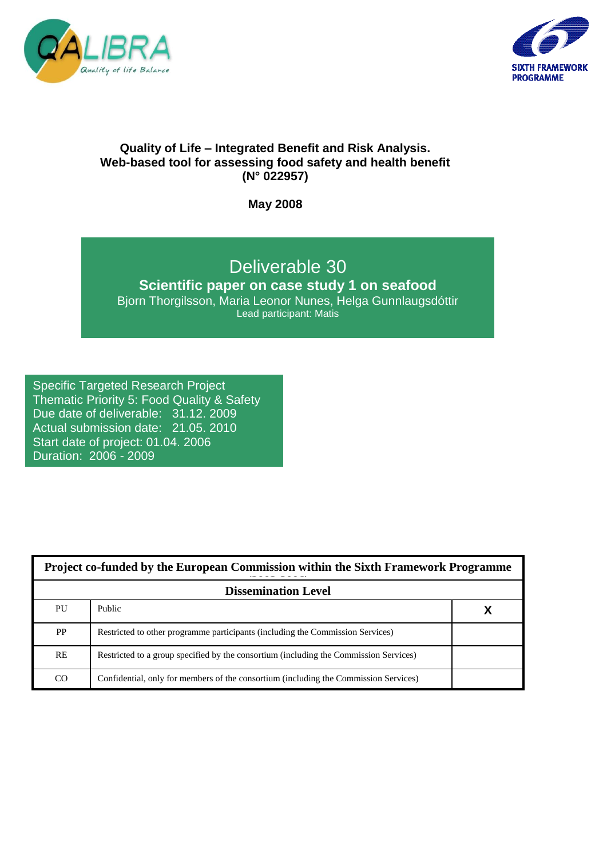



# **Quality of Life – Integrated Benefit and Risk Analysis. Web-based tool for assessing food safety and health benefit (N° 022957)**

**May 2008**

# Deliverable 30

**Scientific paper on case study 1 on seafood** Bjorn Thorgilsson, Maria Leonor Nunes, Helga Gunnlaugsdóttir Lead participant: Matis

# Specific Targeted Research Project

Thematic Priority 5: Food Quality & Safety Due date of deliverable: 31.12. 2009 Actual submission date: 21.05. 2010 Start date of project: 01.04. 2006 Duration: 2006 - 2009

| Project co-funded by the European Commission within the Sixth Framework Programme |                                                                                       |  |  |  |  |
|-----------------------------------------------------------------------------------|---------------------------------------------------------------------------------------|--|--|--|--|
| <b>Dissemination Level</b>                                                        |                                                                                       |  |  |  |  |
| PU                                                                                | Public                                                                                |  |  |  |  |
| <b>PP</b>                                                                         | Restricted to other programme participants (including the Commission Services)        |  |  |  |  |
| <b>RE</b>                                                                         | Restricted to a group specified by the consortium (including the Commission Services) |  |  |  |  |
| CO                                                                                | Confidential, only for members of the consortium (including the Commission Services)  |  |  |  |  |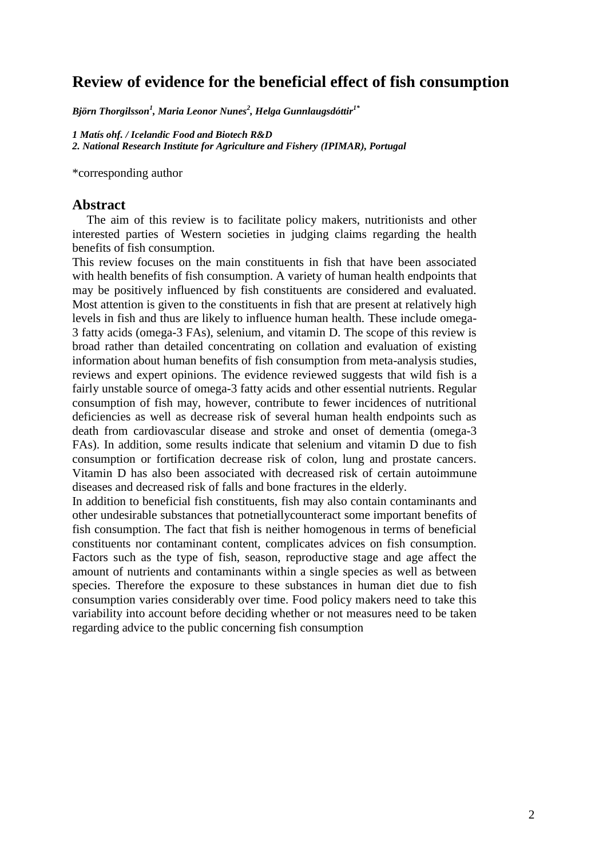# **Review of evidence for the beneficial effect of fish consumption**

*Björn Thorgilsson<sup>1</sup> , Maria Leonor Nunes<sup>2</sup> , Helga Gunnlaugsdóttir1\**

*1 Matís ohf. / Icelandic Food and Biotech R&D 2. National Research Institute for Agriculture and Fishery (IPIMAR), Portugal*

\*corresponding author

#### **Abstract**

The aim of this review is to facilitate policy makers, nutritionists and other interested parties of Western societies in judging claims regarding the health benefits of fish consumption.

This review focuses on the main constituents in fish that have been associated with health benefits of fish consumption. A variety of human health endpoints that may be positively influenced by fish constituents are considered and evaluated. Most attention is given to the constituents in fish that are present at relatively high levels in fish and thus are likely to influence human health. These include omega-3 fatty acids (omega-3 FAs), selenium, and vitamin D. The scope of this review is broad rather than detailed concentrating on collation and evaluation of existing information about human benefits of fish consumption from meta-analysis studies, reviews and expert opinions. The evidence reviewed suggests that wild fish is a fairly unstable source of omega-3 fatty acids and other essential nutrients. Regular consumption of fish may, however, contribute to fewer incidences of nutritional deficiencies as well as decrease risk of several human health endpoints such as death from cardiovascular disease and stroke and onset of dementia (omega-3 FAs). In addition, some results indicate that selenium and vitamin D due to fish consumption or fortification decrease risk of colon, lung and prostate cancers. Vitamin D has also been associated with decreased risk of certain autoimmune diseases and decreased risk of falls and bone fractures in the elderly.

In addition to beneficial fish constituents, fish may also contain contaminants and other undesirable substances that potnetiallycounteract some important benefits of fish consumption. The fact that fish is neither homogenous in terms of beneficial constituents nor contaminant content, complicates advices on fish consumption. Factors such as the type of fish, season, reproductive stage and age affect the amount of nutrients and contaminants within a single species as well as between species. Therefore the exposure to these substances in human diet due to fish consumption varies considerably over time. Food policy makers need to take this variability into account before deciding whether or not measures need to be taken regarding advice to the public concerning fish consumption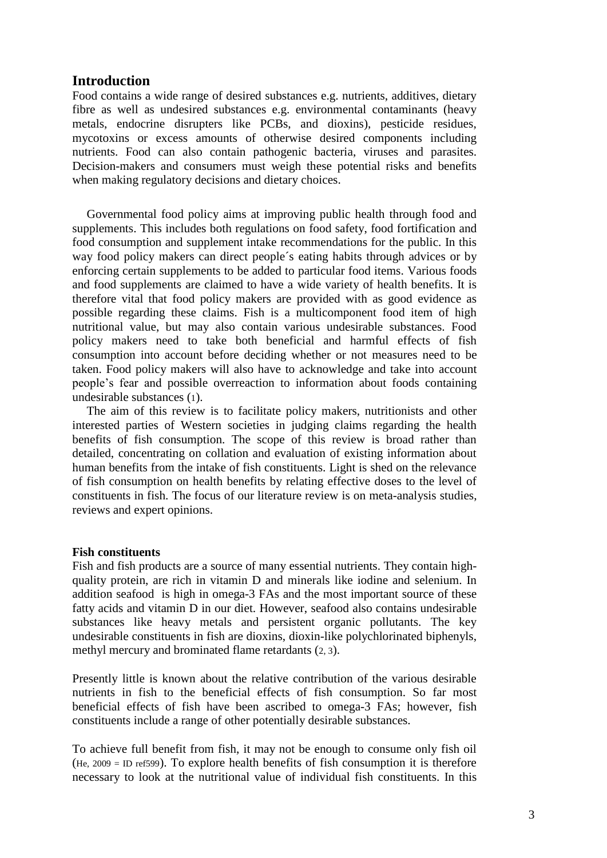## **Introduction**

Food contains a wide range of desired substances e.g. nutrients, additives, dietary fibre as well as undesired substances e.g. environmental contaminants (heavy metals, endocrine disrupters like PCBs, and dioxins), pesticide residues, mycotoxins or excess amounts of otherwise desired components including nutrients. Food can also contain pathogenic bacteria, viruses and parasites. Decision-makers and consumers must weigh these potential risks and benefits when making regulatory decisions and dietary choices.

Governmental food policy aims at improving public health through food and supplements. This includes both regulations on food safety, food fortification and food consumption and supplement intake recommendations for the public. In this way food policy makers can direct people´s eating habits through advices or by enforcing certain supplements to be added to particular food items. Various foods and food supplements are claimed to have a wide variety of health benefits. It is therefore vital that food policy makers are provided with as good evidence as possible regarding these claims. Fish is a multicomponent food item of high nutritional value, but may also contain various undesirable substances. Food policy makers need to take both beneficial and harmful effects of fish consumption into account before deciding whether or not measures need to be taken. Food policy makers will also have to acknowledge and take into account people's fear and possible overreaction to information about foods containing undesirable substances (1).

The aim of this review is to facilitate policy makers, nutritionists and other interested parties of Western societies in judging claims regarding the health benefits of fish consumption. The scope of this review is broad rather than detailed, concentrating on collation and evaluation of existing information about human benefits from the intake of fish constituents. Light is shed on the relevance of fish consumption on health benefits by relating effective doses to the level of constituents in fish. The focus of our literature review is on meta-analysis studies, reviews and expert opinions.

#### **Fish constituents**

Fish and fish products are a source of many essential nutrients. They contain highquality protein, are rich in vitamin D and minerals like iodine and selenium. In addition seafood is high in omega-3 FAs and the most important source of these fatty acids and vitamin D in our diet. However, seafood also contains undesirable substances like heavy metals and persistent organic pollutants. The key undesirable constituents in fish are dioxins, dioxin-like polychlorinated biphenyls, methyl mercury and brominated flame retardants (2, 3).

Presently little is known about the relative contribution of the various desirable nutrients in fish to the beneficial effects of fish consumption. So far most beneficial effects of fish have been ascribed to omega-3 FAs; however, fish constituents include a range of other potentially desirable substances.

To achieve full benefit from fish, it may not be enough to consume only fish oil (He, 2009 = ID ref599). To explore health benefits of fish consumption it is therefore necessary to look at the nutritional value of individual fish constituents. In this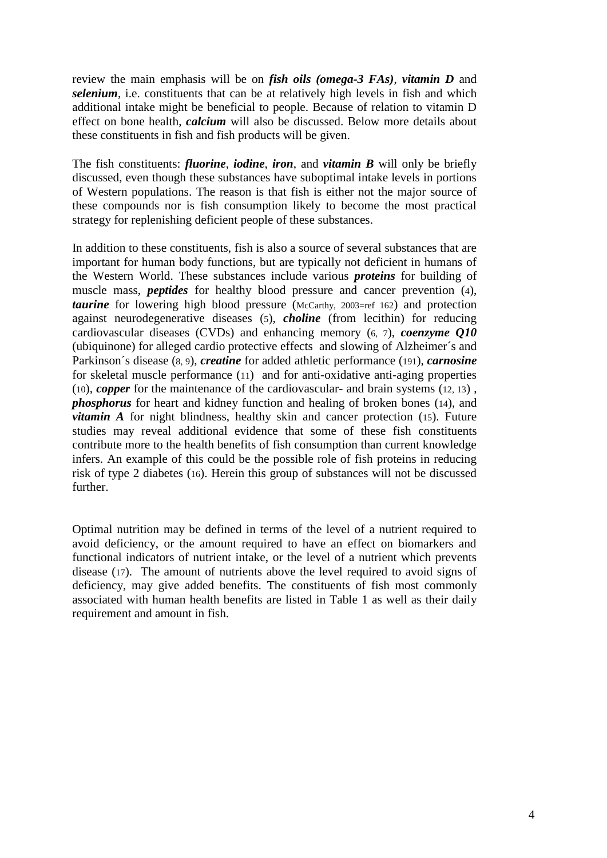review the main emphasis will be on *fish oils (omega-3 FAs)*, *vitamin D* and *selenium*, i.e. constituents that can be at relatively high levels in fish and which additional intake might be beneficial to people. Because of relation to vitamin D effect on bone health, *calcium* will also be discussed. Below more details about these constituents in fish and fish products will be given.

The fish constituents: *fluorine*, *iodine*, *iron*, and *vitamin B* will only be briefly discussed, even though these substances have suboptimal intake levels in portions of Western populations. The reason is that fish is either not the major source of these compounds nor is fish consumption likely to become the most practical strategy for replenishing deficient people of these substances.

In addition to these constituents, fish is also a source of several substances that are important for human body functions, but are typically not deficient in humans of the Western World. These substances include various *proteins* for building of muscle mass, *peptides* for healthy blood pressure and cancer prevention (4), *taurine* for lowering high blood pressure (McCarthy, 2003=ref 162) and protection against neurodegenerative diseases (5), *choline* (from lecithin) for reducing cardiovascular diseases (CVDs) and enhancing memory (6, 7), *coenzyme Q10* (ubiquinone) for alleged cardio protective effects and slowing of Alzheimer´s and Parkinson´s disease (8, 9), *creatine* for added athletic performance (191), *carnosine* for skeletal muscle performance (11) and for anti-oxidative anti-aging properties (10), *copper* for the maintenance of the cardiovascular- and brain systems (12, 13) , *phosphorus* for heart and kidney function and healing of broken bones (14), and *vitamin A* for night blindness, healthy skin and cancer protection (15). Future studies may reveal additional evidence that some of these fish constituents contribute more to the health benefits of fish consumption than current knowledge infers. An example of this could be the possible role of fish proteins in reducing risk of type 2 diabetes (16). Herein this group of substances will not be discussed further.

Optimal nutrition may be defined in terms of the level of a nutrient required to avoid deficiency, or the amount required to have an effect on biomarkers and functional indicators of nutrient intake, or the level of a nutrient which prevents disease (17). The amount of nutrients above the level required to avoid signs of deficiency, may give added benefits. The constituents of fish most commonly associated with human health benefits are listed in Table 1 as well as their daily requirement and amount in fish.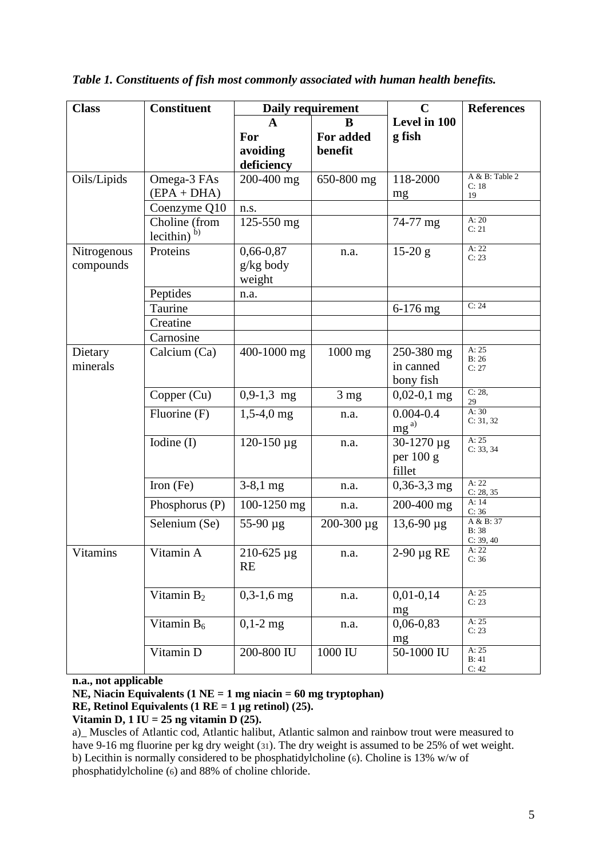| <b>Class</b>    | <b>Constituent</b>              |                   | Daily requirement | $\mathbf C$               | <b>References</b>       |
|-----------------|---------------------------------|-------------------|-------------------|---------------------------|-------------------------|
|                 |                                 | A                 | B                 | Level in 100              |                         |
|                 |                                 | For               | For added         | g fish                    |                         |
|                 |                                 | avoiding          | benefit           |                           |                         |
|                 |                                 | deficiency        |                   |                           |                         |
| Oils/Lipids     | Omega-3 FAs                     | 200-400 mg        | 650-800 mg        | 118-2000                  | A & B: Table 2<br>C: 18 |
|                 | $(EPA + DHA)$                   |                   |                   | mg                        | 19                      |
|                 | Coenzyme Q10                    | n.s.              |                   |                           |                         |
|                 | Choline (from<br>lecithin) $b)$ | 125-550 mg        |                   | 74-77 mg                  | A:20<br>C: 21           |
| Nitrogenous     | Proteins                        | 0,66-0,87         | n.a.              | $15-20 g$                 | A: 22<br>C: 23          |
| compounds       |                                 | g/kg body         |                   |                           |                         |
|                 |                                 | weight            |                   |                           |                         |
|                 | Peptides                        | n.a.              |                   |                           |                         |
|                 | Taurine                         |                   |                   | 6-176 mg                  | C: 24                   |
|                 | Creatine                        |                   |                   |                           |                         |
|                 | Carnosine                       |                   |                   |                           |                         |
| Dietary         | Calcium (Ca)                    | 400-1000 mg       | $1000$ mg         | 250-380 mg                | A:25<br>B:26            |
| minerals        |                                 |                   |                   | in canned                 | C: 27                   |
|                 |                                 |                   |                   | bony fish                 |                         |
|                 | Copper (Cu)                     | $0,9-1,3$ mg      | 3 <sub>mg</sub>   | $0,02-0,1$ mg             | C: 28,<br>29            |
|                 | Fluorine (F)                    | $1,5-4,0$ mg      | n.a.              | $0.004 - 0.4$<br>$mg^{a}$ | A:30<br>C: 31, 32       |
|                 | Iodine (I)                      | $120 - 150 \mu g$ | n.a.              | 30-1270 µg                | A: $25$                 |
|                 |                                 |                   |                   | per 100 g                 | C: 33, 34               |
|                 |                                 |                   |                   | fillet                    |                         |
|                 | Iron (Fe)                       | $3-8,1$ mg        | n.a.              | $0,36-3,3$ mg             | A: 22<br>C: 28, 35      |
|                 | Phosphorus (P)                  | 100-1250 mg       | n.a.              | 200-400 mg                | A: $14$<br>C: 36        |
|                 | Selenium (Se)                   | $55-90 \mu g$     | $200 - 300 \mu g$ | $13,6-90 \mu g$           | A & B: 37<br>B: 38      |
|                 |                                 |                   |                   |                           | C: 39, 40               |
| <b>Vitamins</b> | Vitamin A                       | 210-625 µg        | n.a.              | $2-90 \mu g RE$           | A: 22<br>C: 36          |
|                 |                                 | RE                |                   |                           |                         |
|                 | Vitamin $B_2$                   | $0,3-1,6$ mg      | n.a.              | $0,01-0,14$               | A: 25                   |
|                 |                                 |                   |                   | mg                        | C: 23                   |
|                 | Vitamin B <sub>6</sub>          | $0,1-2$ mg        | n.a.              | $0,06-0,83$               | A: 25                   |
|                 |                                 |                   |                   | mg                        | C: 23                   |
|                 | Vitamin D                       | 200-800 IU        | 1000 IU           | 50-1000 IU                | A: 25<br>B: 41          |
|                 |                                 |                   |                   |                           | C: 42                   |

*Table 1. Constituents of fish most commonly associated with human health benefits.*

**n.a., not applicable**

**NE, Niacin Equivalents (1 NE = 1 mg niacin = 60 mg tryptophan)**

**RE, Retinol Equivalents (1 RE = 1 µg retinol) (25).**

**Vitamin D,**  $1 I\overline{U} = 25$  ng **vitamin D**  $(25)$ .

a)\_ Muscles of Atlantic cod, Atlantic halibut, Atlantic salmon and rainbow trout were measured to have 9-16 mg fluorine per kg dry weight (31). The dry weight is assumed to be 25% of wet weight. b) Lecithin is normally considered to be phosphatidylcholine (6). Choline is 13% w/w of phosphatidylcholine (6) and 88% of choline chloride.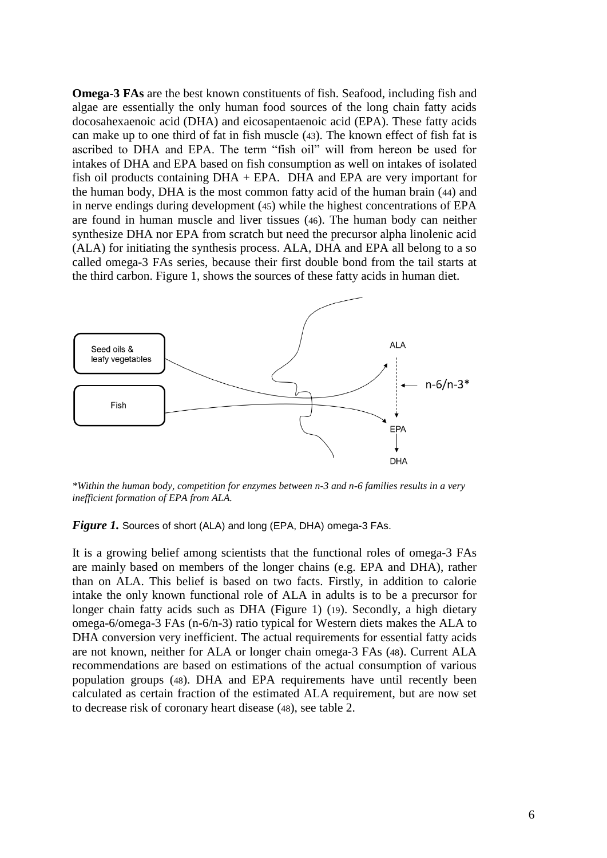**Omega-3 FAs** are the best known constituents of fish. Seafood, including fish and algae are essentially the only human food sources of the long chain fatty acids docosahexaenoic acid (DHA) and eicosapentaenoic acid (EPA). These fatty acids can make up to one third of fat in fish muscle (43). The known effect of fish fat is ascribed to DHA and EPA. The term "fish oil" will from hereon be used for intakes of DHA and EPA based on fish consumption as well on intakes of isolated fish oil products containing  $DHA$  + EPA. DHA and EPA are very important for the human body, DHA is the most common fatty acid of the human brain (44) and in nerve endings during development (45) while the highest concentrations of EPA are found in human muscle and liver tissues (46). The human body can neither synthesize DHA nor EPA from scratch but need the precursor alpha linolenic acid (ALA) for initiating the synthesis process. ALA, DHA and EPA all belong to a so called omega-3 FAs series, because their first double bond from the tail starts at the third carbon. Figure 1, shows the sources of these fatty acids in human diet.



*\*Within the human body, competition for enzymes between n-3 and n-6 families results in a very inefficient formation of EPA from ALA.*

#### *Figure 1.* Sources of short (ALA) and long (EPA, DHA) omega-3 FAs.

It is a growing belief among scientists that the functional roles of omega-3 FAs are mainly based on members of the longer chains (e.g. EPA and DHA), rather than on ALA. This belief is based on two facts. Firstly, in addition to calorie intake the only known functional role of ALA in adults is to be a precursor for longer chain fatty acids such as DHA (Figure 1) (19). Secondly, a high dietary omega-6/omega-3 FAs (n-6/n-3) ratio typical for Western diets makes the ALA to DHA conversion very inefficient. The actual requirements for essential fatty acids are not known, neither for ALA or longer chain omega-3 FAs (48). Current ALA recommendations are based on estimations of the actual consumption of various population groups (48). DHA and EPA requirements have until recently been calculated as certain fraction of the estimated ALA requirement, but are now set to decrease risk of coronary heart disease (48), see table 2.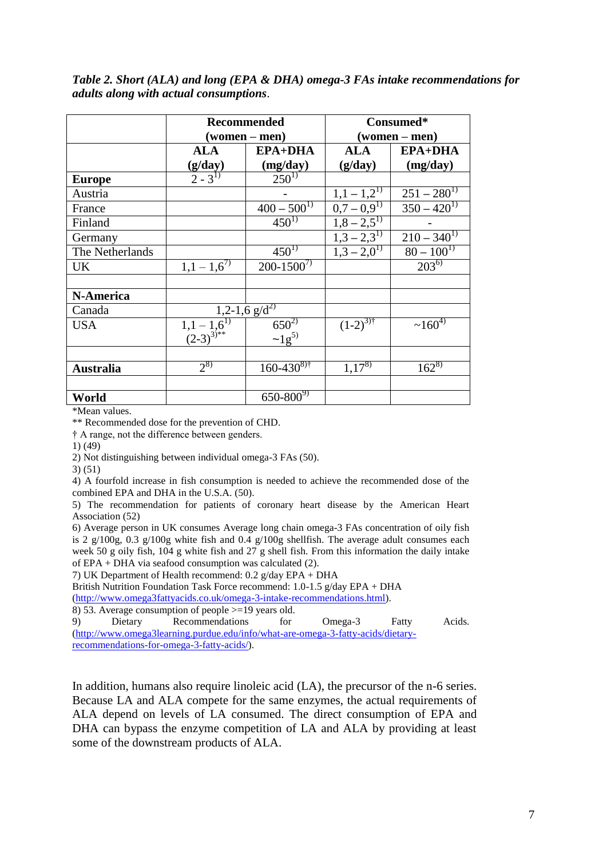## *Table 2. Short (ALA) and long (EPA & DHA) omega-3 FAs intake recommendations for adults along with actual consumptions*.

|                  |                                          | Recommended                                                                  | Consumed*                         |                           |  |  |
|------------------|------------------------------------------|------------------------------------------------------------------------------|-----------------------------------|---------------------------|--|--|
|                  |                                          | (women – men)                                                                |                                   | (women – men)             |  |  |
|                  | <b>ALA</b>                               | <b>EPA+DHA</b>                                                               | <b>ALA</b>                        | <b>EPA+DHA</b>            |  |  |
|                  | $\frac{\left(\frac{g}{day}\right)}{2-3}$ | (mg/day)                                                                     | (g/day)                           | (mg/day)                  |  |  |
| <b>Europe</b>    |                                          | $250^{1}$                                                                    |                                   |                           |  |  |
| Austria          |                                          |                                                                              |                                   | $251 - 280^{1}$           |  |  |
| France           |                                          | $400 - 500^{1}$                                                              | $\frac{1,1-1,2^{1}}{0,7-0,9^{1}}$ | $350 - 420^{1}$           |  |  |
| Finland          |                                          | $450^{1}$                                                                    | $1,8-2,5^{1}$                     |                           |  |  |
| Germany          |                                          |                                                                              | $1,3-2,3^{1}$                     | $\overline{210-340}^{1)}$ |  |  |
| The Netherlands  |                                          | $450^{1}$                                                                    | $1.3 - 2.0^{1}$                   | $80 - 100^{1}$            |  |  |
| UK               | $1,1-1,6^{7}$                            | $200 - 1500^{7}$                                                             |                                   | $203^{6}$                 |  |  |
|                  |                                          |                                                                              |                                   |                           |  |  |
| N-America        |                                          |                                                                              |                                   |                           |  |  |
| Canada           |                                          | $1,2-1,6$ $\overline{g/d^2}$                                                 |                                   |                           |  |  |
| <b>USA</b>       |                                          | $650^{2}$                                                                    | $(1-2)^{3}$                       | $\sim 160^{4}$            |  |  |
|                  |                                          | $\overline{1,1-1,6^{11}}$<br>(2-3) <sup>3)**</sup><br>$\sim 1 \, \rm{g}^{5}$ |                                   |                           |  |  |
|                  |                                          |                                                                              |                                   |                           |  |  |
| <b>Australia</b> | $2^{(8)}$                                | $160 - 430^{8}$                                                              | $1,17^{8}$                        | $162^{8}$                 |  |  |
|                  |                                          |                                                                              |                                   |                           |  |  |
| World            |                                          | $650 - 800^{9}$                                                              |                                   |                           |  |  |

\*Mean values.

\*\* Recommended dose for the prevention of CHD.

† A range, not the difference between genders.

1) (49)

2) Not distinguishing between individual omega-3 FAs (50).

3) (51)

4) A fourfold increase in fish consumption is needed to achieve the recommended dose of the combined EPA and DHA in the U.S.A. (50).

5) The recommendation for patients of coronary heart disease by the American Heart Association (52)

6) Average person in UK consumes Average long chain omega-3 FAs concentration of oily fish is 2 g/100g, 0.3 g/100g white fish and 0.4 g/100g shellfish. The average adult consumes each week 50 g oily fish, 104 g white fish and 27 g shell fish. From this information the daily intake of EPA + DHA via seafood consumption was calculated (2).

7) UK Department of Health recommend: 0.2 g/day EPA + DHA

British Nutrition Foundation Task Force recommend: 1.0-1.5 g/day EPA + DHA

[\(http://www.omega3fattyacids.co.uk/omega-3-intake-recommendations.html\)](http://www.omega3fattyacids.co.uk/omega-3-intake-recommendations.html).

8) 53. Average consumption of people >=19 years old.

9) Dietary Recommendations for Omega-3 Fatty Acids. [\(http://www.omega3learning.purdue.edu/info/what-are-omega-3-fatty-acids/dietary](http://www.omega3learning.purdue.edu/info/what-are-omega-3-fatty-acids/dietary-recommendations-for-omega-3-fatty-acids/)[recommendations-for-omega-3-fatty-acids/\)](http://www.omega3learning.purdue.edu/info/what-are-omega-3-fatty-acids/dietary-recommendations-for-omega-3-fatty-acids/).

In addition, humans also require linoleic acid (LA), the precursor of the n-6 series. Because LA and ALA compete for the same enzymes, the actual requirements of ALA depend on levels of LA consumed. The direct consumption of EPA and DHA can bypass the enzyme competition of LA and ALA by providing at least some of the downstream products of ALA.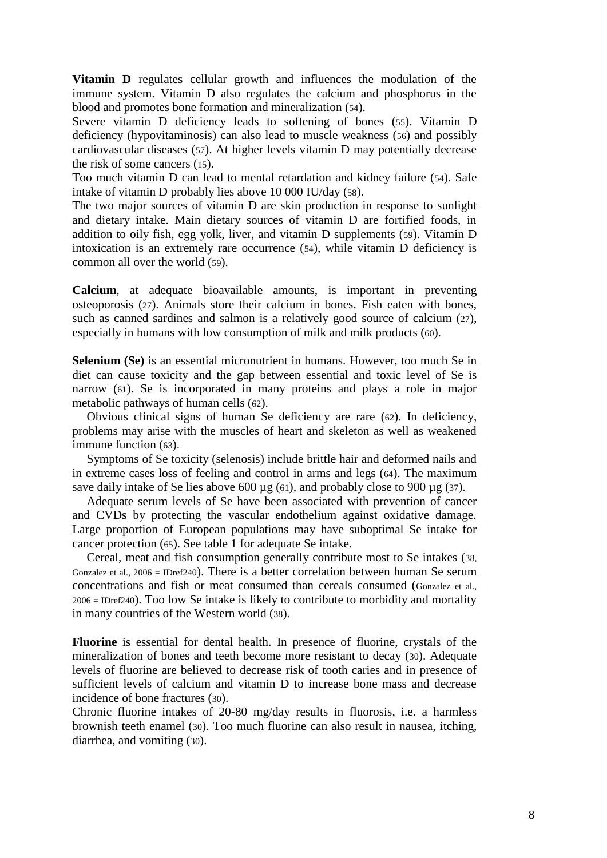**Vitamin D** regulates cellular growth and influences the modulation of the immune system. Vitamin D also regulates the calcium and phosphorus in the blood and promotes bone formation and mineralization (54).

Severe vitamin D deficiency leads to softening of bones (55). Vitamin D deficiency (hypovitaminosis) can also lead to muscle weakness (56) and possibly cardiovascular diseases (57). At higher levels vitamin D may potentially decrease the risk of some cancers (15).

Too much vitamin D can lead to mental retardation and kidney failure (54). Safe intake of vitamin D probably lies above 10 000 IU/day (58).

The two major sources of vitamin D are skin production in response to sunlight and dietary intake. Main dietary sources of vitamin D are fortified foods, in addition to oily fish, egg yolk, liver, and vitamin D supplements (59). Vitamin D intoxication is an extremely rare occurrence (54), while vitamin D deficiency is common all over the world (59).

**Calcium**, at adequate bioavailable amounts, is important in preventing osteoporosis (27). Animals store their calcium in bones. Fish eaten with bones, such as canned sardines and salmon is a relatively good source of calcium (27), especially in humans with low consumption of milk and milk products (60).

**Selenium (Se)** is an essential micronutrient in humans. However, too much Se in diet can cause toxicity and the gap between essential and toxic level of Se is narrow (61). Se is incorporated in many proteins and plays a role in major metabolic pathways of human cells (62).

Obvious clinical signs of human Se deficiency are rare (62). In deficiency, problems may arise with the muscles of heart and skeleton as well as weakened immune function (63).

Symptoms of Se toxicity (selenosis) include brittle hair and deformed nails and in extreme cases loss of feeling and control in arms and legs (64). The maximum save daily intake of Se lies above 600  $\mu$ g (61), and probably close to 900  $\mu$ g (37).

Adequate serum levels of Se have been associated with prevention of cancer and CVDs by protecting the vascular endothelium against oxidative damage. Large proportion of European populations may have suboptimal Se intake for cancer protection (65). See table 1 for adequate Se intake.

Cereal, meat and fish consumption generally contribute most to Se intakes (38, Gonzalez et al., 2006 = IDref240). There is a better correlation between human Se serum concentrations and fish or meat consumed than cereals consumed (Gonzalez et al., 2006 = IDref240). Too low Se intake is likely to contribute to morbidity and mortality in many countries of the Western world (38).

**Fluorine** is essential for dental health. In presence of fluorine, crystals of the mineralization of bones and teeth become more resistant to decay (30). Adequate levels of fluorine are believed to decrease risk of tooth caries and in presence of sufficient levels of calcium and vitamin D to increase bone mass and decrease incidence of bone fractures (30).

Chronic fluorine intakes of 20-80 mg/day results in fluorosis, i.e. a harmless brownish teeth enamel (30). Too much fluorine can also result in nausea, itching, diarrhea, and vomiting (30).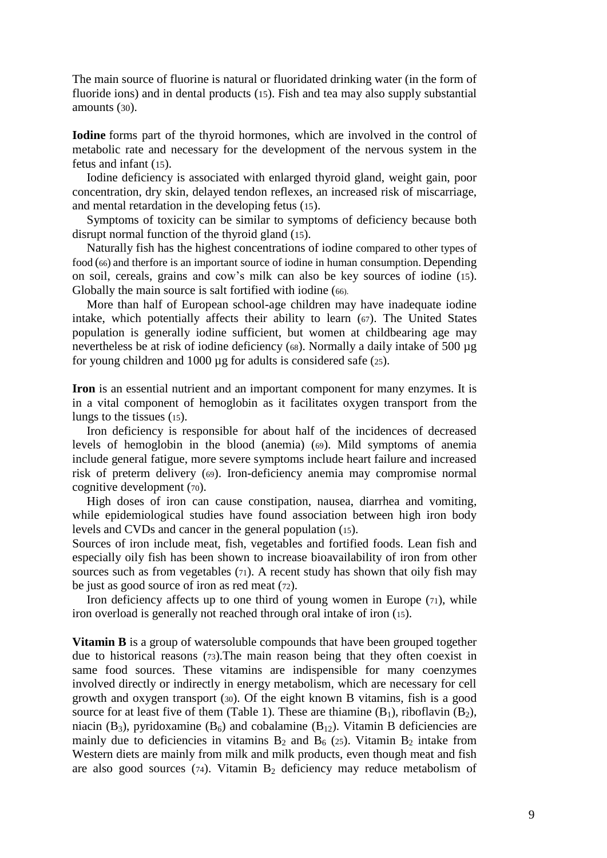The main source of fluorine is natural or fluoridated drinking water (in the form of fluoride ions) and in dental products (15). Fish and tea may also supply substantial amounts (30).

**Iodine** forms part of the thyroid hormones, which are involved in the control of metabolic rate and necessary for the development of the nervous system in the fetus and infant (15).

Iodine deficiency is associated with enlarged thyroid gland, weight gain, poor concentration, dry skin, delayed tendon reflexes, an increased risk of miscarriage, and mental retardation in the developing fetus (15).

Symptoms of toxicity can be similar to symptoms of deficiency because both disrupt normal function of the thyroid gland (15).

Naturally fish has the highest concentrations of iodine compared to other types of food (66) and therfore is an important source of iodine in human consumption. Depending on soil, cereals, grains and cow's milk can also be key sources of iodine (15). Globally the main source is salt fortified with iodine (66).

More than half of European school-age children may have inadequate iodine intake, which potentially affects their ability to learn (67). The United States population is generally iodine sufficient, but women at childbearing age may nevertheless be at risk of iodine deficiency (68). Normally a daily intake of 500 µg for young children and 1000 µg for adults is considered safe (25).

**Iron** is an essential nutrient and an important component for many enzymes. It is in a vital component of hemoglobin as it facilitates oxygen transport from the lungs to the tissues (15).

Iron deficiency is responsible for about half of the incidences of decreased levels of hemoglobin in the blood (anemia) (69). Mild symptoms of anemia include general fatigue, more severe symptoms include heart failure and increased risk of preterm delivery (69). Iron-deficiency anemia may compromise normal cognitive development (70).

High doses of iron can cause constipation, nausea, diarrhea and vomiting, while epidemiological studies have found association between high iron body levels and CVDs and cancer in the general population (15).

Sources of iron include meat, fish, vegetables and fortified foods. Lean fish and especially oily fish has been shown to increase bioavailability of iron from other sources such as from vegetables (71). A recent study has shown that oily fish may be just as good source of iron as red meat (72).

Iron deficiency affects up to one third of young women in Europe  $(71)$ , while iron overload is generally not reached through oral intake of iron (15).

**Vitamin B** is a group of watersoluble compounds that have been grouped together due to historical reasons (73).The main reason being that they often coexist in same food sources. These vitamins are indispensible for many coenzymes involved directly or indirectly in energy metabolism, which are necessary for cell growth and oxygen transport (30). Of the eight known B vitamins, fish is a good source for at least five of them (Table 1). These are thiamine  $(B_1)$ , riboflavin  $(B_2)$ , niacin (B<sub>3</sub>), pyridoxamine (B<sub>6</sub>) and cobalamine (B<sub>12</sub>). Vitamin B deficiencies are mainly due to deficiencies in vitamins  $B_2$  and  $B_6$  (25). Vitamin  $B_2$  intake from Western diets are mainly from milk and milk products, even though meat and fish are also good sources ( $74$ ). Vitamin B<sub>2</sub> deficiency may reduce metabolism of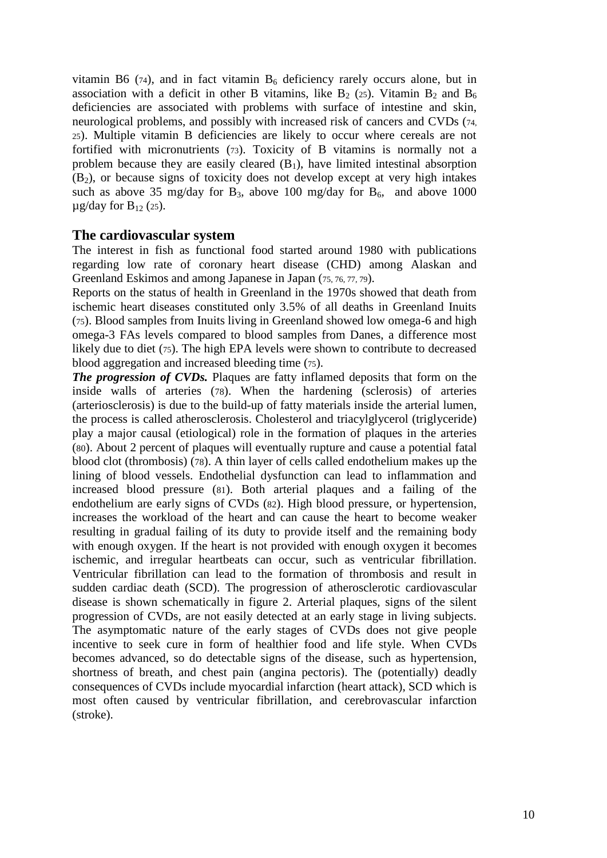vitamin B6 (74), and in fact vitamin  $B_6$  deficiency rarely occurs alone, but in association with a deficit in other B vitamins, like  $B_2$  (25). Vitamin  $B_2$  and  $B_6$ deficiencies are associated with problems with surface of intestine and skin, neurological problems, and possibly with increased risk of cancers and CVDs (74, <sup>25</sup>). Multiple vitamin B deficiencies are likely to occur where cereals are not fortified with micronutrients (73). Toxicity of B vitamins is normally not a problem because they are easily cleared  $(B_1)$ , have limited intestinal absorption  $(B<sub>2</sub>)$ , or because signs of toxicity does not develop except at very high intakes such as above 35 mg/day for B<sub>3</sub>, above 100 mg/day for B<sub>6</sub>, and above 1000  $\mu$ g/day for B<sub>12</sub> (25).

# **The cardiovascular system**

The interest in fish as functional food started around 1980 with publications regarding low rate of coronary heart disease (CHD) among Alaskan and Greenland Eskimos and among Japanese in Japan (75, 76, 77, 79).

Reports on the status of health in Greenland in the 1970s showed that death from ischemic heart diseases constituted only 3.5% of all deaths in Greenland Inuits (75). Blood samples from Inuits living in Greenland showed low omega-6 and high omega-3 FAs levels compared to blood samples from Danes, a difference most likely due to diet (75). The high EPA levels were shown to contribute to decreased blood aggregation and increased bleeding time (75).

*The progression of CVDs.* Plaques are fatty inflamed deposits that form on the inside walls of arteries (78). When the hardening (sclerosis) of arteries (arteriosclerosis) is due to the build-up of fatty materials inside the arterial lumen, the process is called atherosclerosis. Cholesterol and triacylglycerol (triglyceride) play a major causal (etiological) role in the formation of plaques in the arteries (80). About 2 percent of plaques will eventually rupture and cause a potential fatal blood clot (thrombosis) (78). A thin layer of cells called endothelium makes up the lining of blood vessels. Endothelial dysfunction can lead to inflammation and increased blood pressure (81). Both arterial plaques and a failing of the endothelium are early signs of CVDs (82). High blood pressure, or hypertension, increases the workload of the heart and can cause the heart to become weaker resulting in gradual failing of its duty to provide itself and the remaining body with enough oxygen. If the heart is not provided with enough oxygen it becomes ischemic, and irregular heartbeats can occur, such as ventricular fibrillation. Ventricular fibrillation can lead to the formation of thrombosis and result in sudden cardiac death (SCD). The progression of atherosclerotic cardiovascular disease is shown schematically in figure 2. Arterial plaques, signs of the silent progression of CVDs, are not easily detected at an early stage in living subjects. The asymptomatic nature of the early stages of CVDs does not give people incentive to seek cure in form of healthier food and life style. When CVDs becomes advanced, so do detectable signs of the disease, such as hypertension, shortness of breath, and chest pain (angina pectoris). The (potentially) deadly consequences of CVDs include myocardial infarction (heart attack), SCD which is most often caused by ventricular fibrillation, and cerebrovascular infarction (stroke).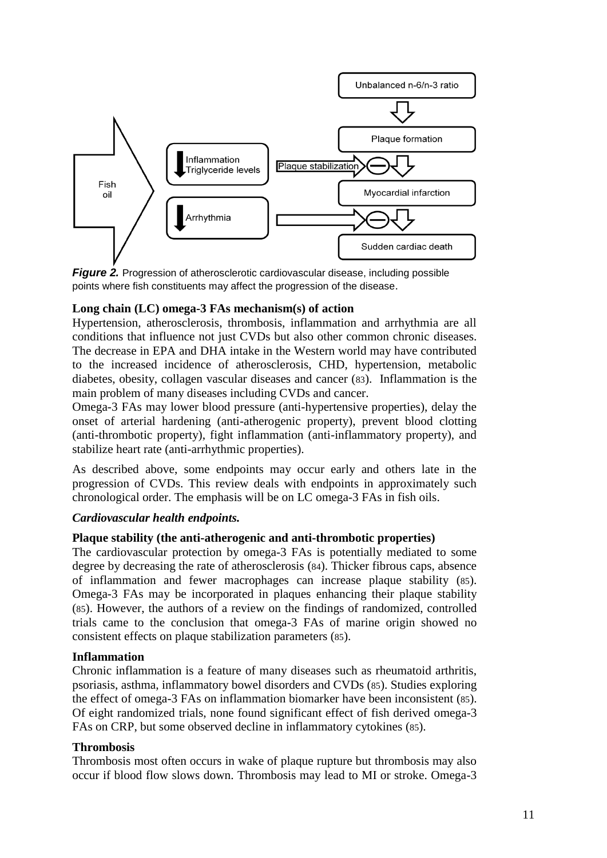

*Figure* 2. Progression of atherosclerotic cardiovascular disease, including possible points where fish constituents may affect the progression of the disease.

# **Long chain (LC) omega-3 FAs mechanism(s) of action**

Hypertension, atherosclerosis, thrombosis, inflammation and arrhythmia are all conditions that influence not just CVDs but also other common chronic diseases. The decrease in EPA and DHA intake in the Western world may have contributed to the increased incidence of atherosclerosis, CHD, hypertension, metabolic diabetes, obesity, collagen vascular diseases and cancer (83). Inflammation is the main problem of many diseases including CVDs and cancer.

Omega-3 FAs may lower blood pressure (anti-hypertensive properties), delay the onset of arterial hardening (anti-atherogenic property), prevent blood clotting (anti-thrombotic property), fight inflammation (anti-inflammatory property), and stabilize heart rate (anti-arrhythmic properties).

As described above, some endpoints may occur early and others late in the progression of CVDs. This review deals with endpoints in approximately such chronological order. The emphasis will be on LC omega-3 FAs in fish oils.

#### *Cardiovascular health endpoints.*

#### **Plaque stability (the anti-atherogenic and anti-thrombotic properties)**

The cardiovascular protection by omega-3 FAs is potentially mediated to some degree by decreasing the rate of atherosclerosis (84). Thicker fibrous caps, absence of inflammation and fewer macrophages can increase plaque stability (85). Omega-3 FAs may be incorporated in plaques enhancing their plaque stability (85). However, the authors of a review on the findings of randomized, controlled trials came to the conclusion that omega-3 FAs of marine origin showed no consistent effects on plaque stabilization parameters (85).

#### **Inflammation**

Chronic inflammation is a feature of many diseases such as rheumatoid arthritis, psoriasis, asthma, inflammatory bowel disorders and CVDs (85). Studies exploring the effect of omega-3 FAs on inflammation biomarker have been inconsistent (85). Of eight randomized trials, none found significant effect of fish derived omega-3 FAs on CRP, but some observed decline in inflammatory cytokines (85).

# **Thrombosis**

Thrombosis most often occurs in wake of plaque rupture but thrombosis may also occur if blood flow slows down. Thrombosis may lead to MI or stroke. Omega-3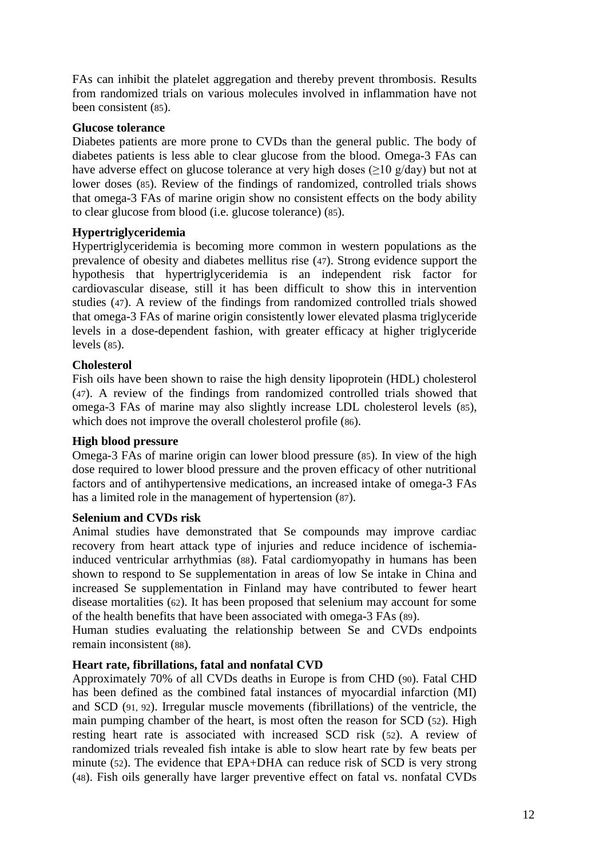FAs can inhibit the platelet aggregation and thereby prevent thrombosis. Results from randomized trials on various molecules involved in inflammation have not been consistent (85).

## **Glucose tolerance**

Diabetes patients are more prone to CVDs than the general public. The body of diabetes patients is less able to clear glucose from the blood. Omega-3 FAs can have adverse effect on glucose tolerance at very high doses ( $\geq$ 10 g/day) but not at lower doses (85). Review of the findings of randomized, controlled trials shows that omega-3 FAs of marine origin show no consistent effects on the body ability to clear glucose from blood (i.e. glucose tolerance) (85).

# **Hypertriglyceridemia**

Hypertriglyceridemia is becoming more common in western populations as the prevalence of obesity and diabetes mellitus rise (47). Strong evidence support the hypothesis that hypertriglyceridemia is an independent risk factor for cardiovascular disease, still it has been difficult to show this in intervention studies (47). A review of the findings from randomized controlled trials showed that omega-3 FAs of marine origin consistently lower elevated plasma triglyceride levels in a dose-dependent fashion, with greater efficacy at higher triglyceride levels (85).

# **Cholesterol**

Fish oils have been shown to raise the high density lipoprotein (HDL) cholesterol (47). A review of the findings from randomized controlled trials showed that omega-3 FAs of marine may also slightly increase LDL cholesterol levels (85), which does not improve the overall cholesterol profile (86).

#### **High blood pressure**

Omega-3 FAs of marine origin can lower blood pressure (85). In view of the high dose required to lower blood pressure and the proven efficacy of other nutritional factors and of antihypertensive medications, an increased intake of omega-3 FAs has a limited role in the management of hypertension (87).

#### **Selenium and CVDs risk**

Animal studies have demonstrated that Se compounds may improve cardiac recovery from heart attack type of injuries and reduce incidence of ischemiainduced ventricular arrhythmias (88). Fatal cardiomyopathy in humans has been shown to respond to Se supplementation in areas of low Se intake in China and increased Se supplementation in Finland may have contributed to fewer heart disease mortalities (62). It has been proposed that selenium may account for some of the health benefits that have been associated with omega-3 FAs (89).

Human studies evaluating the relationship between Se and CVDs endpoints remain inconsistent (88).

# **Heart rate, fibrillations, fatal and nonfatal CVD**

Approximately 70% of all CVDs deaths in Europe is from CHD (90). Fatal CHD has been defined as the combined fatal instances of myocardial infarction (MI) and SCD (91, 92). Irregular muscle movements (fibrillations) of the ventricle, the main pumping chamber of the heart, is most often the reason for SCD (52). High resting heart rate is associated with increased SCD risk (52). A review of randomized trials revealed fish intake is able to slow heart rate by few beats per minute (52). The evidence that EPA+DHA can reduce risk of SCD is very strong (48). Fish oils generally have larger preventive effect on fatal vs. nonfatal CVDs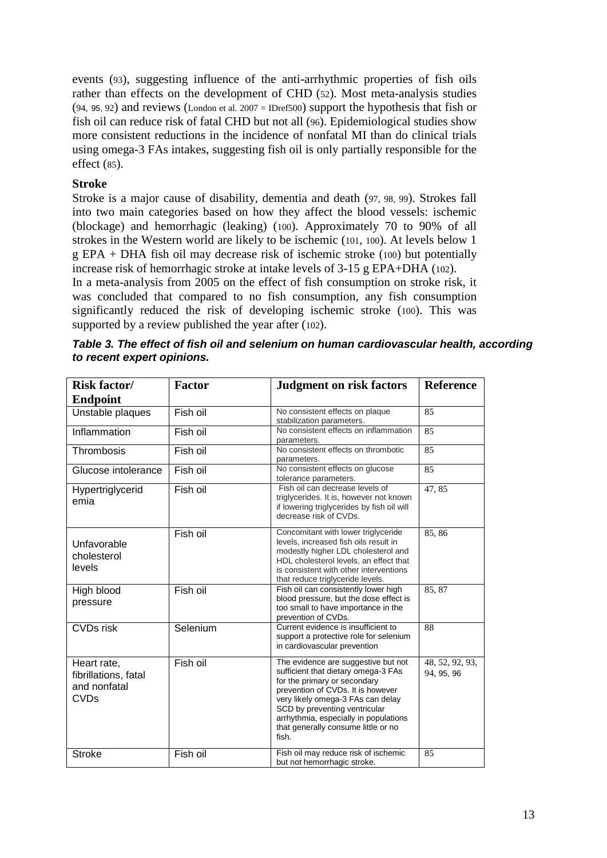events (93), suggesting influence of the anti-arrhythmic properties of fish oils rather than effects on the development of CHD (52). Most meta-analysis studies  $(94, 95, 92)$  and reviews (London et al. 2007 = IDref500) support the hypothesis that fish or fish oil can reduce risk of fatal CHD but not all (96). Epidemiological studies show more consistent reductions in the incidence of nonfatal MI than do clinical trials using omega-3 FAs intakes, suggesting fish oil is only partially responsible for the effect (85).

# **Stroke**

Stroke is a major cause of disability, dementia and death (97, 98, 99). Strokes fall into two main categories based on how they affect the blood vessels: ischemic (blockage) and hemorrhagic (leaking) (100). Approximately 70 to 90% of all strokes in the Western world are likely to be ischemic (101, 100). At levels below 1 g EPA + DHA fish oil may decrease risk of ischemic stroke (100) but potentially increase risk of hemorrhagic stroke at intake levels of 3-15 g EPA+DHA (102).

In a meta-analysis from 2005 on the effect of fish consumption on stroke risk, it was concluded that compared to no fish consumption, any fish consumption significantly reduced the risk of developing ischemic stroke (100). This was supported by a review published the year after (102).

| <b>Risk factor/</b><br><b>Endpoint</b>                             | <b>Factor</b> | <b>Judgment on risk factors</b>                                                                                                                                                                                                                                                                                | <b>Reference</b>              |
|--------------------------------------------------------------------|---------------|----------------------------------------------------------------------------------------------------------------------------------------------------------------------------------------------------------------------------------------------------------------------------------------------------------------|-------------------------------|
| Unstable plaques                                                   | Fish oil      | No consistent effects on plaque<br>stabilization parameters.                                                                                                                                                                                                                                                   | 85                            |
| Inflammation                                                       | Fish oil      | No consistent effects on inflammation<br>parameters.                                                                                                                                                                                                                                                           | 85                            |
| Thrombosis                                                         | Fish oil      | No consistent effects on thrombotic<br>parameters.                                                                                                                                                                                                                                                             | 85                            |
| Glucose intolerance                                                | Fish oil      | No consistent effects on glucose<br>tolerance parameters.                                                                                                                                                                                                                                                      | 85                            |
| Hypertriglycerid<br>emia                                           | Fish oil      | Fish oil can decrease levels of<br>triglycerides. It is, however not known<br>if lowering triglycerides by fish oil will<br>decrease risk of CVDs.                                                                                                                                                             | 47,85                         |
| Unfavorable<br>cholesterol<br>levels                               | Fish oil      | Concomitant with lower triglyceride<br>levels, increased fish oils result in<br>modestly higher LDL cholesterol and<br>HDL cholesterol levels, an effect that<br>is consistent with other interventions<br>that reduce triglyceride levels.                                                                    | 85,86                         |
| High blood<br>pressure                                             | Fish oil      | Fish oil can consistently lower high<br>blood pressure, but the dose effect is<br>too small to have importance in the<br>prevention of CVDs.                                                                                                                                                                   | 85, 87                        |
| <b>CVDs</b> risk                                                   | Selenium      | Current evidence is insufficient to<br>support a protective role for selenium<br>in cardiovascular prevention                                                                                                                                                                                                  | 88                            |
| Heart rate,<br>fibrillations, fatal<br>and nonfatal<br><b>CVDs</b> | Fish oil      | The evidence are suggestive but not<br>sufficient that dietary omega-3 FAs<br>for the primary or secondary<br>prevention of CVDs. It is however<br>very likely omega-3 FAs can delay<br>SCD by preventing ventricular<br>arrhythmia, especially in populations<br>that generally consume little or no<br>fish. | 48, 52, 92, 93,<br>94, 95, 96 |
| <b>Stroke</b>                                                      | Fish oil      | Fish oil may reduce risk of ischemic<br>but not hemorrhagic stroke.                                                                                                                                                                                                                                            | 85                            |

*Table 3. The effect of fish oil and selenium on human cardiovascular health, according to recent expert opinions.*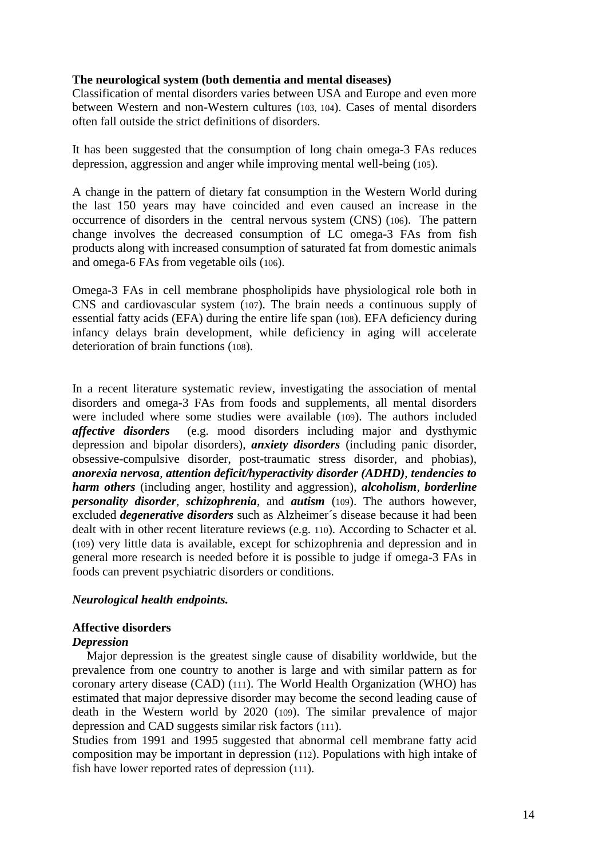### **The neurological system (both dementia and mental diseases)**

Classification of mental disorders varies between USA and Europe and even more between Western and non-Western cultures (103, 104). Cases of mental disorders often fall outside the strict definitions of disorders.

It has been suggested that the consumption of long chain omega-3 FAs reduces depression, aggression and anger while improving mental well-being (105).

A change in the pattern of dietary fat consumption in the Western World during the last 150 years may have coincided and even caused an increase in the occurrence of disorders in the central nervous system (CNS) (106). The pattern change involves the decreased consumption of LC omega-3 FAs from fish products along with increased consumption of saturated fat from domestic animals and omega-6 FAs from vegetable oils (106).

Omega-3 FAs in cell membrane phospholipids have physiological role both in CNS and cardiovascular system (107). The brain needs a continuous supply of essential fatty acids (EFA) during the entire life span (108). EFA deficiency during infancy delays brain development, while deficiency in aging will accelerate deterioration of brain functions (108).

In a recent literature systematic review, investigating the association of mental disorders and omega-3 FAs from foods and supplements, all mental disorders were included where some studies were available (109). The authors included *affective disorders* (e.g. mood disorders including major and dysthymic depression and bipolar disorders), *anxiety disorders* (including panic disorder, obsessive-compulsive disorder, post-traumatic stress disorder, and phobias), *anorexia nervosa*, *attention deficit/hyperactivity disorder (ADHD)*, *tendencies to harm others* (including anger, hostility and aggression), *alcoholism*, *borderline personality disorder*, *schizophrenia*, and *autism* (109). The authors however, excluded *degenerative disorders* such as Alzheimer´s disease because it had been dealt with in other recent literature reviews (e.g. 110). According to Schacter et al. (109) very little data is available, except for schizophrenia and depression and in general more research is needed before it is possible to judge if omega-3 FAs in foods can prevent psychiatric disorders or conditions.

#### *Neurological health endpoints.*

#### **Affective disorders**

#### *Depression*

Major depression is the greatest single cause of disability worldwide, but the prevalence from one country to another is large and with similar pattern as for coronary artery disease (CAD) (111). The World Health Organization (WHO) has estimated that major depressive disorder may become the second leading cause of death in the Western world by 2020 (109). The similar prevalence of major depression and CAD suggests similar risk factors (111).

Studies from 1991 and 1995 suggested that abnormal cell membrane fatty acid composition may be important in depression (112). Populations with high intake of fish have lower reported rates of depression (111).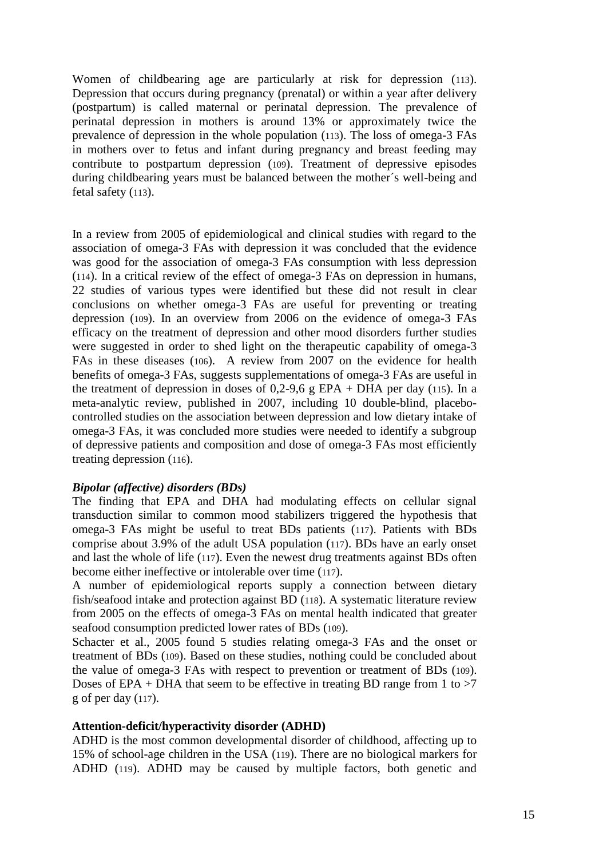Women of childbearing age are particularly at risk for depression (113). Depression that occurs during pregnancy (prenatal) or within a year after delivery (postpartum) is called maternal or perinatal depression. The prevalence of perinatal depression in mothers is around 13% or approximately twice the prevalence of depression in the whole population (113). The loss of omega-3 FAs in mothers over to fetus and infant during pregnancy and breast feeding may contribute to postpartum depression (109). Treatment of depressive episodes during childbearing years must be balanced between the mother´s well-being and fetal safety (113).

In a review from 2005 of epidemiological and clinical studies with regard to the association of omega-3 FAs with depression it was concluded that the evidence was good for the association of omega-3 FAs consumption with less depression (114). In a critical review of the effect of omega-3 FAs on depression in humans, 22 studies of various types were identified but these did not result in clear conclusions on whether omega-3 FAs are useful for preventing or treating depression (109). In an overview from 2006 on the evidence of omega-3 FAs efficacy on the treatment of depression and other mood disorders further studies were suggested in order to shed light on the therapeutic capability of omega-3 FAs in these diseases (106). A review from 2007 on the evidence for health benefits of omega-3 FAs, suggests supplementations of omega-3 FAs are useful in the treatment of depression in doses of  $0,2-9,6$  g EPA + DHA per day (115). In a meta-analytic review, published in 2007, including 10 double-blind, placebocontrolled studies on the association between depression and low dietary intake of omega-3 FAs, it was concluded more studies were needed to identify a subgroup of depressive patients and composition and dose of omega-3 FAs most efficiently treating depression (116).

#### *Bipolar (affective) disorders (BDs)*

The finding that EPA and DHA had modulating effects on cellular signal transduction similar to common mood stabilizers triggered the hypothesis that omega-3 FAs might be useful to treat BDs patients (117). Patients with BDs comprise about 3.9% of the adult USA population (117). BDs have an early onset and last the whole of life (117). Even the newest drug treatments against BDs often become either ineffective or intolerable over time (117).

A number of epidemiological reports supply a connection between dietary fish/seafood intake and protection against BD (118). A systematic literature review from 2005 on the effects of omega-3 FAs on mental health indicated that greater seafood consumption predicted lower rates of BDs (109).

Schacter et al., 2005 found 5 studies relating omega-3 FAs and the onset or treatment of BDs (109). Based on these studies, nothing could be concluded about the value of omega-3 FAs with respect to prevention or treatment of BDs (109). Doses of EPA + DHA that seem to be effective in treating BD range from 1 to  $>7$ g of per day (117).

#### **Attention-deficit/hyperactivity disorder (ADHD)**

ADHD is the most common developmental disorder of childhood, affecting up to 15% of school-age children in the USA (119). There are no biological markers for ADHD (119). ADHD may be caused by multiple factors, both genetic and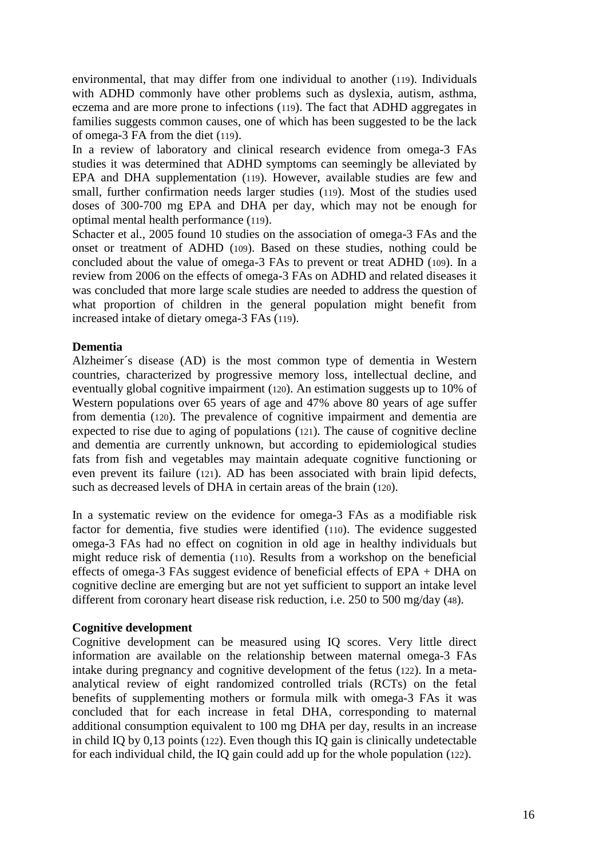environmental, that may differ from one individual to another (119). Individuals with ADHD commonly have other problems such as dyslexia, autism, asthma, eczema and are more prone to infections (119). The fact that ADHD aggregates in families suggests common causes, one of which has been suggested to be the lack of omega-3 FA from the diet (119).

In a review of laboratory and clinical research evidence from omega-3 FAs studies it was determined that ADHD symptoms can seemingly be alleviated by EPA and DHA supplementation (119). However, available studies are few and small, further confirmation needs larger studies (119). Most of the studies used doses of 300-700 mg EPA and DHA per day, which may not be enough for optimal mental health performance (119).

Schacter et al., 2005 found 10 studies on the association of omega-3 FAs and the onset or treatment of ADHD (109). Based on these studies, nothing could be concluded about the value of omega-3 FAs to prevent or treat ADHD (109). In a review from 2006 on the effects of omega-3 FAs on ADHD and related diseases it was concluded that more large scale studies are needed to address the question of what proportion of children in the general population might benefit from increased intake of dietary omega-3 FAs (119).

#### **Dementia**

Alzheimer´s disease (AD) is the most common type of dementia in Western countries, characterized by progressive memory loss, intellectual decline, and eventually global cognitive impairment (120). An estimation suggests up to 10% of Western populations over 65 years of age and 47% above 80 years of age suffer from dementia (120). The prevalence of cognitive impairment and dementia are expected to rise due to aging of populations (121). The cause of cognitive decline and dementia are currently unknown, but according to epidemiological studies fats from fish and vegetables may maintain adequate cognitive functioning or even prevent its failure (121). AD has been associated with brain lipid defects, such as decreased levels of DHA in certain areas of the brain (120).

In a systematic review on the evidence for omega-3 FAs as a modifiable risk factor for dementia, five studies were identified (110). The evidence suggested omega-3 FAs had no effect on cognition in old age in healthy individuals but might reduce risk of dementia (110). Results from a workshop on the beneficial effects of omega-3 FAs suggest evidence of beneficial effects of EPA + DHA on cognitive decline are emerging but are not yet sufficient to support an intake level different from coronary heart disease risk reduction, i.e. 250 to 500 mg/day (48).

#### **Cognitive development**

Cognitive development can be measured using IQ scores. Very little direct information are available on the relationship between maternal omega-3 FAs intake during pregnancy and cognitive development of the fetus (122). In a metaanalytical review of eight randomized controlled trials (RCTs) on the fetal benefits of supplementing mothers or formula milk with omega-3 FAs it was concluded that for each increase in fetal DHA, corresponding to maternal additional consumption equivalent to 100 mg DHA per day, results in an increase in child IQ by 0,13 points (122). Even though this IQ gain is clinically undetectable for each individual child, the IQ gain could add up for the whole population (122).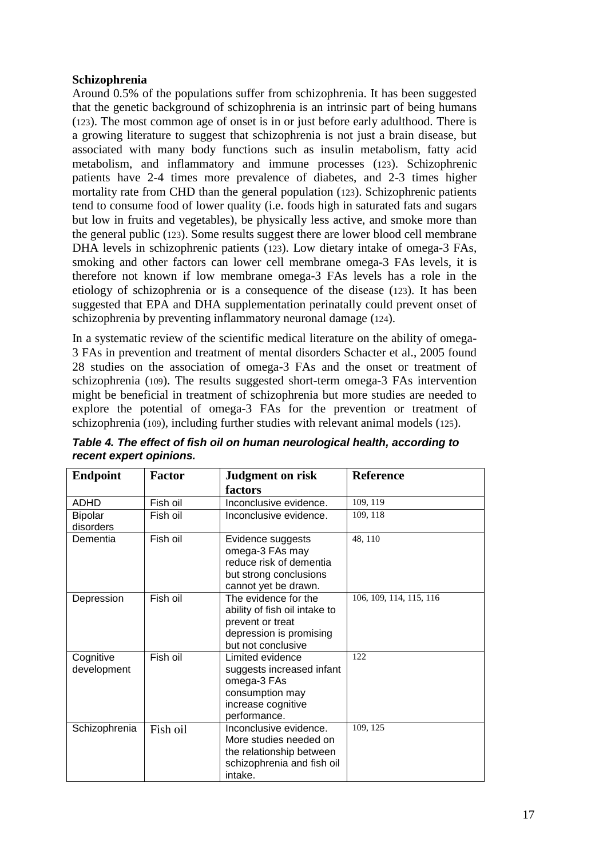# **Schizophrenia**

Around 0.5% of the populations suffer from schizophrenia. It has been suggested that the genetic background of schizophrenia is an intrinsic part of being humans (123). The most common age of onset is in or just before early adulthood. There is a growing literature to suggest that schizophrenia is not just a brain disease, but associated with many body functions such as insulin metabolism, fatty acid metabolism, and inflammatory and immune processes (123). Schizophrenic patients have 2-4 times more prevalence of diabetes, and 2-3 times higher mortality rate from CHD than the general population (123). Schizophrenic patients tend to consume food of lower quality (i.e. foods high in saturated fats and sugars but low in fruits and vegetables), be physically less active, and smoke more than the general public (123). Some results suggest there are lower blood cell membrane DHA levels in schizophrenic patients (123). Low dietary intake of omega-3 FAs, smoking and other factors can lower cell membrane omega-3 FAs levels, it is therefore not known if low membrane omega-3 FAs levels has a role in the etiology of schizophrenia or is a consequence of the disease (123). It has been suggested that EPA and DHA supplementation perinatally could prevent onset of schizophrenia by preventing inflammatory neuronal damage (124).

In a systematic review of the scientific medical literature on the ability of omega-3 FAs in prevention and treatment of mental disorders Schacter et al., 2005 found 28 studies on the association of omega-3 FAs and the onset or treatment of schizophrenia (109). The results suggested short-term omega-3 FAs intervention might be beneficial in treatment of schizophrenia but more studies are needed to explore the potential of omega-3 FAs for the prevention or treatment of schizophrenia (109), including further studies with relevant animal models (125).

| <b>Endpoint</b> | <b>Factor</b> | <b>Judgment on risk</b>       | <b>Reference</b>        |
|-----------------|---------------|-------------------------------|-------------------------|
|                 |               | factors                       |                         |
| <b>ADHD</b>     | Fish oil      | Inconclusive evidence.        | 109, 119                |
| <b>Bipolar</b>  | Fish oil      | Inconclusive evidence.        | 109, 118                |
| disorders       |               |                               |                         |
| Dementia        | Fish oil      | Evidence suggests             | 48, 110                 |
|                 |               | omega-3 FAs may               |                         |
|                 |               | reduce risk of dementia       |                         |
|                 |               | but strong conclusions        |                         |
|                 |               | cannot yet be drawn.          |                         |
| Depression      | Fish oil      | The evidence for the          | 106, 109, 114, 115, 116 |
|                 |               | ability of fish oil intake to |                         |
|                 |               | prevent or treat              |                         |
|                 |               | depression is promising       |                         |
|                 |               | but not conclusive            |                         |
| Cognitive       | Fish oil      | Limited evidence              | 122                     |
| development     |               | suggests increased infant     |                         |
|                 |               | omega-3 FAs                   |                         |
|                 |               | consumption may               |                         |
|                 |               | increase cognitive            |                         |
|                 |               | performance.                  |                         |
| Schizophrenia   | Fish oil      | Inconclusive evidence.        | 109, 125                |
|                 |               | More studies needed on        |                         |
|                 |               | the relationship between      |                         |
|                 |               | schizophrenia and fish oil    |                         |
|                 |               | intake.                       |                         |

*Table 4. The effect of fish oil on human neurological health, according to recent expert opinions.*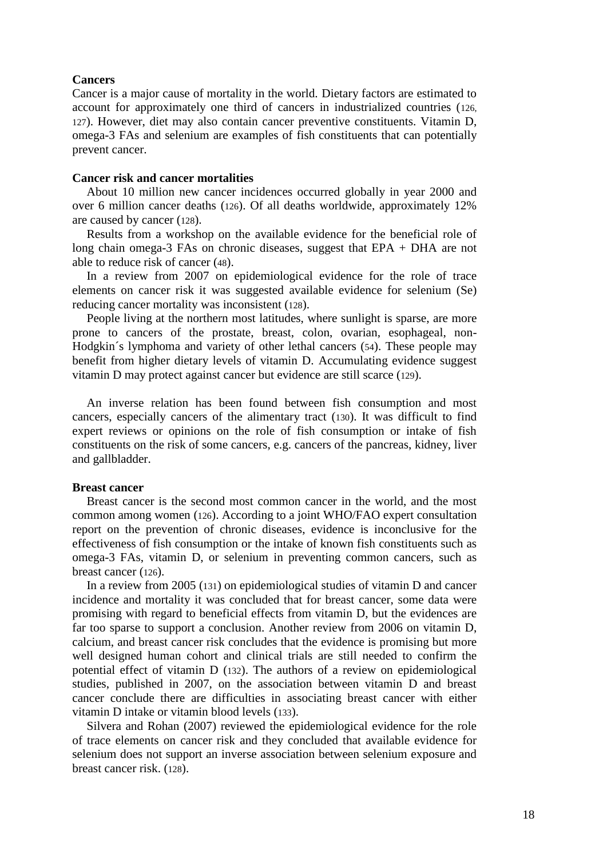#### **Cancers**

Cancer is a major cause of mortality in the world. Dietary factors are estimated to account for approximately one third of cancers in industrialized countries (126, 127). However, diet may also contain cancer preventive constituents. Vitamin D, omega-3 FAs and selenium are examples of fish constituents that can potentially prevent cancer.

#### **Cancer risk and cancer mortalities**

About 10 million new cancer incidences occurred globally in year 2000 and over 6 million cancer deaths (126). Of all deaths worldwide, approximately 12% are caused by cancer (128).

Results from a workshop on the available evidence for the beneficial role of long chain omega-3 FAs on chronic diseases, suggest that EPA + DHA are not able to reduce risk of cancer (48).

In a review from 2007 on epidemiological evidence for the role of trace elements on cancer risk it was suggested available evidence for selenium (Se) reducing cancer mortality was inconsistent (128).

People living at the northern most latitudes, where sunlight is sparse, are more prone to cancers of the prostate, breast, colon, ovarian, esophageal, non-Hodgkin´s lymphoma and variety of other lethal cancers (54). These people may benefit from higher dietary levels of vitamin D. Accumulating evidence suggest vitamin D may protect against cancer but evidence are still scarce (129).

An inverse relation has been found between fish consumption and most cancers, especially cancers of the alimentary tract (130). It was difficult to find expert reviews or opinions on the role of fish consumption or intake of fish constituents on the risk of some cancers, e.g. cancers of the pancreas, kidney, liver and gallbladder.

#### **Breast cancer**

Breast cancer is the second most common cancer in the world, and the most common among women (126). According to a joint WHO/FAO expert consultation report on the prevention of chronic diseases, evidence is inconclusive for the effectiveness of fish consumption or the intake of known fish constituents such as omega-3 FAs, vitamin D, or selenium in preventing common cancers, such as breast cancer (126).

In a review from 2005 (131) on epidemiological studies of vitamin D and cancer incidence and mortality it was concluded that for breast cancer, some data were promising with regard to beneficial effects from vitamin D, but the evidences are far too sparse to support a conclusion. Another review from 2006 on vitamin D, calcium, and breast cancer risk concludes that the evidence is promising but more well designed human cohort and clinical trials are still needed to confirm the potential effect of vitamin D (132). The authors of a review on epidemiological studies, published in 2007, on the association between vitamin D and breast cancer conclude there are difficulties in associating breast cancer with either vitamin D intake or vitamin blood levels (133).

Silvera and Rohan (2007) reviewed the epidemiological evidence for the role of trace elements on cancer risk and they concluded that available evidence for selenium does not support an inverse association between selenium exposure and breast cancer risk. (128).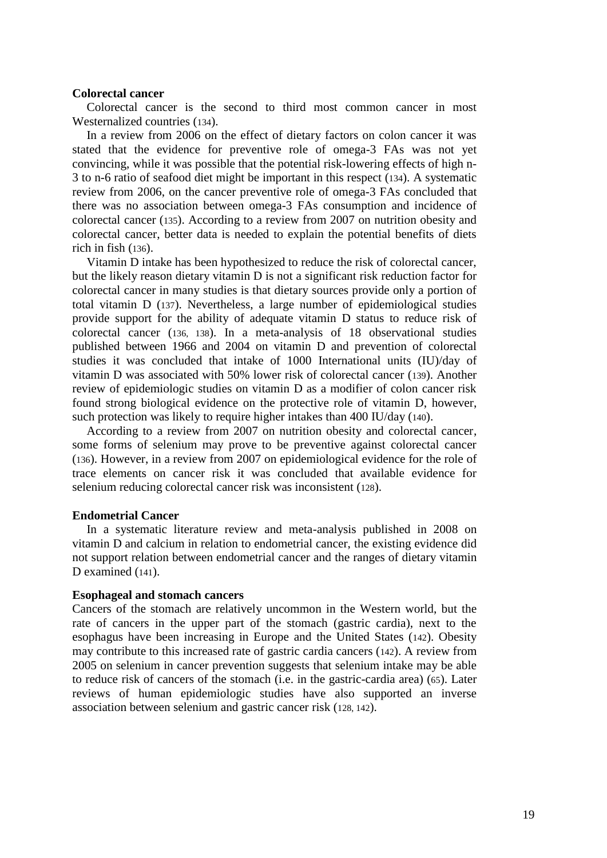#### **Colorectal cancer**

Colorectal cancer is the second to third most common cancer in most Westernalized countries (134).

In a review from 2006 on the effect of dietary factors on colon cancer it was stated that the evidence for preventive role of omega-3 FAs was not yet convincing, while it was possible that the potential risk-lowering effects of high n-3 to n-6 ratio of seafood diet might be important in this respect (134). A systematic review from 2006, on the cancer preventive role of omega-3 FAs concluded that there was no association between omega-3 FAs consumption and incidence of colorectal cancer (135). According to a review from 2007 on nutrition obesity and colorectal cancer, better data is needed to explain the potential benefits of diets rich in fish (136).

Vitamin D intake has been hypothesized to reduce the risk of colorectal cancer, but the likely reason dietary vitamin D is not a significant risk reduction factor for colorectal cancer in many studies is that dietary sources provide only a portion of total vitamin D (137). Nevertheless, a large number of epidemiological studies provide support for the ability of adequate vitamin D status to reduce risk of colorectal cancer (136, 138). In a meta-analysis of 18 observational studies published between 1966 and 2004 on vitamin D and prevention of colorectal studies it was concluded that intake of 1000 International units (IU)/day of vitamin D was associated with 50% lower risk of colorectal cancer (139). Another review of epidemiologic studies on vitamin D as a modifier of colon cancer risk found strong biological evidence on the protective role of vitamin D, however, such protection was likely to require higher intakes than 400 IU/day (140).

According to a review from 2007 on nutrition obesity and colorectal cancer, some forms of selenium may prove to be preventive against colorectal cancer (136). However, in a review from 2007 on epidemiological evidence for the role of trace elements on cancer risk it was concluded that available evidence for selenium reducing colorectal cancer risk was inconsistent (128).

#### **Endometrial Cancer**

In a systematic literature review and meta-analysis published in 2008 on vitamin D and calcium in relation to endometrial cancer, the existing evidence did not support relation between endometrial cancer and the ranges of dietary vitamin D examined (141).

#### **Esophageal and stomach cancers**

Cancers of the stomach are relatively uncommon in the Western world, but the rate of cancers in the upper part of the stomach (gastric cardia), next to the esophagus have been increasing in Europe and the United States (142). Obesity may contribute to this increased rate of gastric cardia cancers (142). A review from 2005 on selenium in cancer prevention suggests that selenium intake may be able to reduce risk of cancers of the stomach (i.e. in the gastric-cardia area) (65). Later reviews of human epidemiologic studies have also supported an inverse association between selenium and gastric cancer risk (128, 142).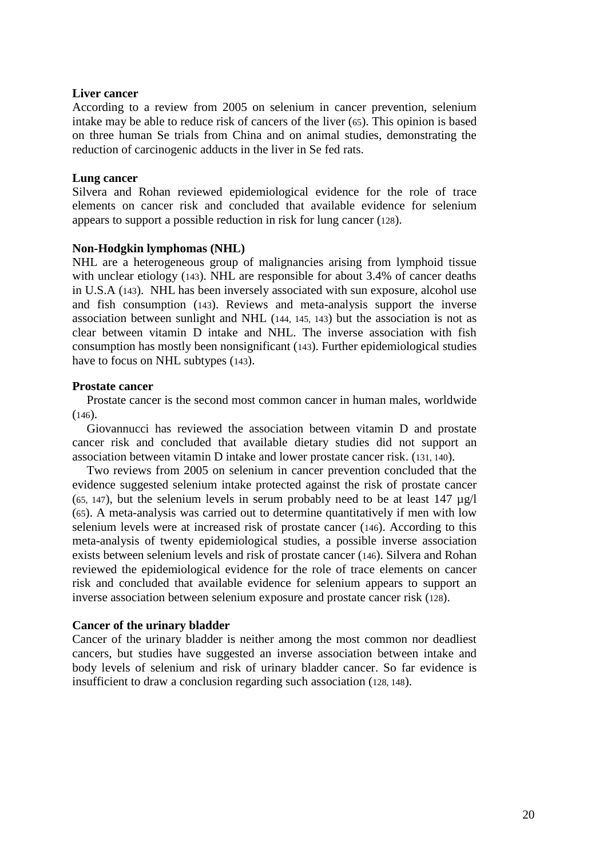#### **Liver cancer**

According to a review from 2005 on selenium in cancer prevention, selenium intake may be able to reduce risk of cancers of the liver (65). This opinion is based on three human Se trials from China and on animal studies, demonstrating the reduction of carcinogenic adducts in the liver in Se fed rats.

#### **Lung cancer**

Silvera and Rohan reviewed epidemiological evidence for the role of trace elements on cancer risk and concluded that available evidence for selenium appears to support a possible reduction in risk for lung cancer (128).

#### **Non-Hodgkin lymphomas (NHL)**

NHL are a heterogeneous group of malignancies arising from lymphoid tissue with unclear etiology (143). NHL are responsible for about 3.4% of cancer deaths in U.S.A (143). NHL has been inversely associated with sun exposure, alcohol use and fish consumption (143). Reviews and meta-analysis support the inverse association between sunlight and NHL (144, 145, 143) but the association is not as clear between vitamin D intake and NHL. The inverse association with fish consumption has mostly been nonsignificant (143). Further epidemiological studies have to focus on NHL subtypes (143).

#### **Prostate cancer**

Prostate cancer is the second most common cancer in human males, worldwide  $(146)$ .

Giovannucci has reviewed the association between vitamin D and prostate cancer risk and concluded that available dietary studies did not support an association between vitamin D intake and lower prostate cancer risk. (131, 140).

Two reviews from 2005 on selenium in cancer prevention concluded that the evidence suggested selenium intake protected against the risk of prostate cancer (65, 147), but the selenium levels in serum probably need to be at least  $147 \mu g/l$ (65). A meta-analysis was carried out to determine quantitatively if men with low selenium levels were at increased risk of prostate cancer (146). According to this meta-analysis of twenty epidemiological studies, a possible inverse association exists between selenium levels and risk of prostate cancer (146). Silvera and Rohan reviewed the epidemiological evidence for the role of trace elements on cancer risk and concluded that available evidence for selenium appears to support an inverse association between selenium exposure and prostate cancer risk (128).

#### **Cancer of the urinary bladder**

Cancer of the urinary bladder is neither among the most common nor deadliest cancers, but studies have suggested an inverse association between intake and body levels of selenium and risk of urinary bladder cancer. So far evidence is insufficient to draw a conclusion regarding such association (128, 148).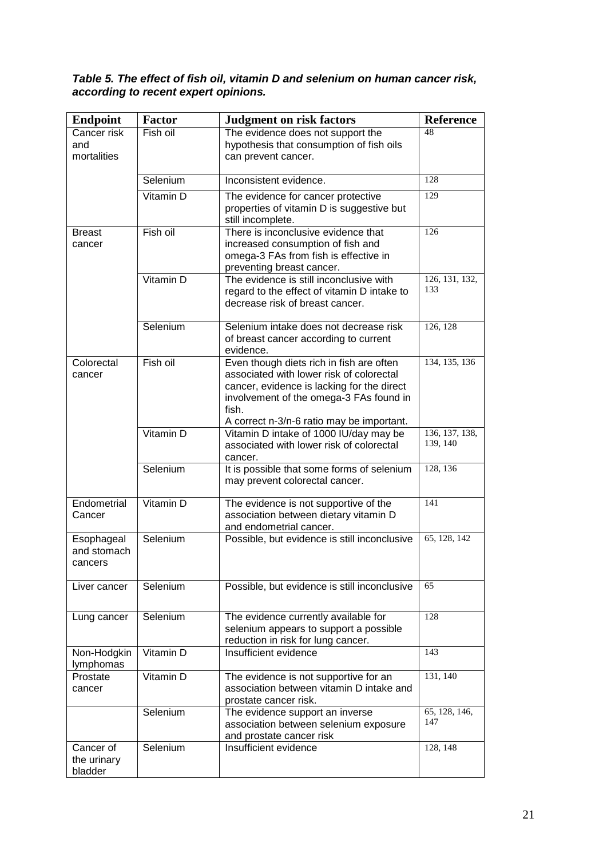#### *Table 5. The effect of fish oil, vitamin D and selenium on human cancer risk, according to recent expert opinions.*

| <b>Endpoint</b>                      | <b>Factor</b> | <b>Judgment on risk factors</b>                                                                                                                                                                                                     | <b>Reference</b>           |
|--------------------------------------|---------------|-------------------------------------------------------------------------------------------------------------------------------------------------------------------------------------------------------------------------------------|----------------------------|
| Cancer risk<br>and<br>mortalities    | Fish oil      | The evidence does not support the<br>hypothesis that consumption of fish oils<br>can prevent cancer.                                                                                                                                | 48                         |
|                                      | Selenium      | Inconsistent evidence.                                                                                                                                                                                                              | 128                        |
|                                      | Vitamin D     | The evidence for cancer protective<br>properties of vitamin D is suggestive but<br>still incomplete.                                                                                                                                | 129                        |
| Breast<br>cancer                     | Fish oil      | There is inconclusive evidence that<br>increased consumption of fish and<br>omega-3 FAs from fish is effective in<br>preventing breast cancer.                                                                                      | 126                        |
|                                      | Vitamin D     | The evidence is still inconclusive with<br>regard to the effect of vitamin D intake to<br>decrease risk of breast cancer.                                                                                                           | 126, 131, 132,<br>133      |
|                                      | Selenium      | Selenium intake does not decrease risk<br>of breast cancer according to current<br>evidence.                                                                                                                                        | 126, 128                   |
| Colorectal<br>cancer                 | Fish oil      | Even though diets rich in fish are often<br>associated with lower risk of colorectal<br>cancer, evidence is lacking for the direct<br>involvement of the omega-3 FAs found in<br>fish.<br>A correct n-3/n-6 ratio may be important. | 134, 135, 136              |
|                                      | Vitamin D     | Vitamin D intake of 1000 IU/day may be<br>associated with lower risk of colorectal<br>cancer.                                                                                                                                       | 136, 137, 138,<br>139, 140 |
|                                      | Selenium      | It is possible that some forms of selenium<br>may prevent colorectal cancer.                                                                                                                                                        | 128, 136                   |
| Endometrial<br>Cancer                | Vitamin D     | The evidence is not supportive of the<br>association between dietary vitamin D<br>and endometrial cancer.                                                                                                                           | 141                        |
| Esophageal<br>and stomach<br>cancers | Selenium      | Possible, but evidence is still inconclusive                                                                                                                                                                                        | 65, 128, 142               |
| Liver cancer                         | Selenium      | Possible, but evidence is still inconclusive                                                                                                                                                                                        | 65                         |
| Lung cancer                          | Selenium      | The evidence currently available for<br>selenium appears to support a possible<br>reduction in risk for lung cancer.                                                                                                                | 128                        |
| Non-Hodgkin<br>lymphomas             | Vitamin D     | Insufficient evidence                                                                                                                                                                                                               | 143                        |
| Prostate<br>cancer                   | Vitamin D     | The evidence is not supportive for an<br>association between vitamin D intake and<br>prostate cancer risk.                                                                                                                          | 131, 140                   |
|                                      | Selenium      | The evidence support an inverse<br>association between selenium exposure<br>and prostate cancer risk                                                                                                                                | 65, 128, 146,<br>147       |
| Cancer of<br>the urinary<br>bladder  | Selenium      | Insufficient evidence                                                                                                                                                                                                               | 128, 148                   |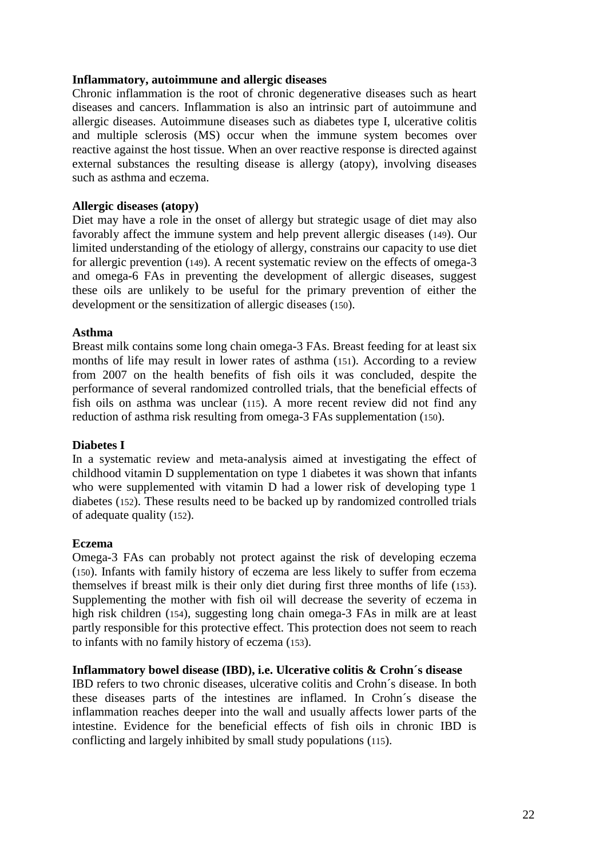#### **Inflammatory, autoimmune and allergic diseases**

Chronic inflammation is the root of chronic degenerative diseases such as heart diseases and cancers. Inflammation is also an intrinsic part of autoimmune and allergic diseases. Autoimmune diseases such as diabetes type I, ulcerative colitis and multiple sclerosis (MS) occur when the immune system becomes over reactive against the host tissue. When an over reactive response is directed against external substances the resulting disease is allergy (atopy), involving diseases such as asthma and eczema.

#### **Allergic diseases (atopy)**

Diet may have a role in the onset of allergy but strategic usage of diet may also favorably affect the immune system and help prevent allergic diseases (149). Our limited understanding of the etiology of allergy, constrains our capacity to use diet for allergic prevention (149). A recent systematic review on the effects of omega-3 and omega-6 FAs in preventing the development of allergic diseases, suggest these oils are unlikely to be useful for the primary prevention of either the development or the sensitization of allergic diseases (150).

#### **Asthma**

Breast milk contains some long chain omega-3 FAs. Breast feeding for at least six months of life may result in lower rates of asthma (151). According to a review from 2007 on the health benefits of fish oils it was concluded, despite the performance of several randomized controlled trials, that the beneficial effects of fish oils on asthma was unclear (115). A more recent review did not find any reduction of asthma risk resulting from omega-3 FAs supplementation (150).

#### **Diabetes I**

In a systematic review and meta-analysis aimed at investigating the effect of childhood vitamin D supplementation on type 1 diabetes it was shown that infants who were supplemented with vitamin D had a lower risk of developing type 1 diabetes (152). These results need to be backed up by randomized controlled trials of adequate quality (152).

#### **Eczema**

Omega-3 FAs can probably not protect against the risk of developing eczema (150). Infants with family history of eczema are less likely to suffer from eczema themselves if breast milk is their only diet during first three months of life (153). Supplementing the mother with fish oil will decrease the severity of eczema in high risk children (154), suggesting long chain omega-3 FAs in milk are at least partly responsible for this protective effect. This protection does not seem to reach to infants with no family history of eczema (153).

# **Inflammatory bowel disease (IBD), i.e. Ulcerative colitis & Crohn´s disease**

IBD refers to two chronic diseases, ulcerative colitis and Crohn´s disease. In both these diseases parts of the intestines are inflamed. In Crohn´s disease the inflammation reaches deeper into the wall and usually affects lower parts of the intestine. Evidence for the beneficial effects of fish oils in chronic IBD is conflicting and largely inhibited by small study populations (115).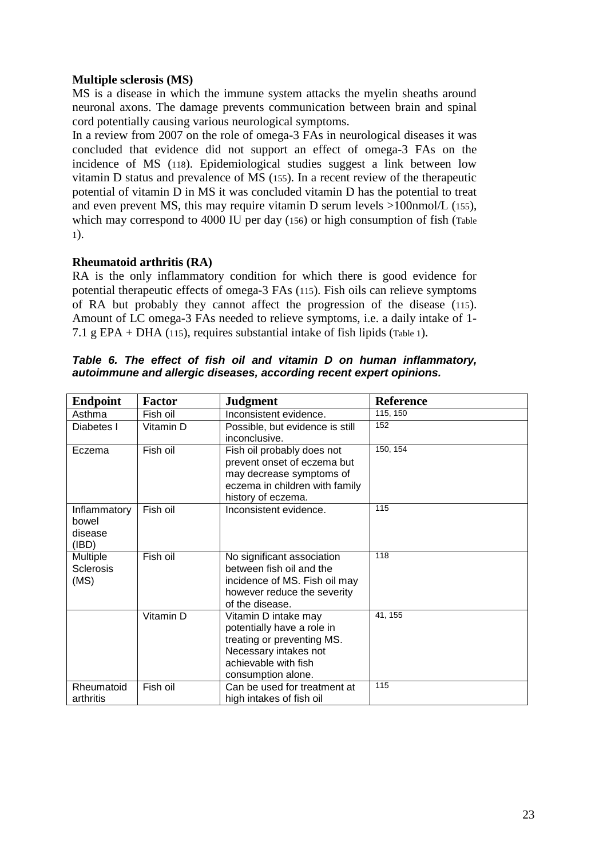# **Multiple sclerosis (MS)**

MS is a disease in which the immune system attacks the myelin sheaths around neuronal axons. The damage prevents communication between brain and spinal cord potentially causing various neurological symptoms.

In a review from 2007 on the role of omega-3 FAs in neurological diseases it was concluded that evidence did not support an effect of omega-3 FAs on the incidence of MS (118). Epidemiological studies suggest a link between low vitamin D status and prevalence of MS (155). In a recent review of the therapeutic potential of vitamin D in MS it was concluded vitamin D has the potential to treat and even prevent MS, this may require vitamin D serum levels >100nmol/L (155), which may correspond to 4000 IU per day (156) or high consumption of fish (Table 1).

# **Rheumatoid arthritis (RA)**

RA is the only inflammatory condition for which there is good evidence for potential therapeutic effects of omega-3 FAs (115). Fish oils can relieve symptoms of RA but probably they cannot affect the progression of the disease (115). Amount of LC omega-3 FAs needed to relieve symptoms, i.e. a daily intake of 1- 7.1 g EPA + DHA (115), requires substantial intake of fish lipids (Table 1).

| <b>Endpoint</b>       | <b>Factor</b> | <b>Judgment</b>                 | <b>Reference</b> |
|-----------------------|---------------|---------------------------------|------------------|
| Asthma                | Fish oil      | Inconsistent evidence.          | 115, 150         |
| Diabetes I            | Vitamin D     | Possible, but evidence is still | 152              |
|                       |               | inconclusive.                   |                  |
| Eczema                | Fish oil      | Fish oil probably does not      | 150, 154         |
|                       |               | prevent onset of eczema but     |                  |
|                       |               | may decrease symptoms of        |                  |
|                       |               | eczema in children with family  |                  |
|                       |               | history of eczema.              |                  |
| Inflammatory<br>bowel | Fish oil      | Inconsistent evidence.          | 115              |
| disease               |               |                                 |                  |
| (IBD)                 |               |                                 |                  |
| <b>Multiple</b>       | Fish oil      | No significant association      | 118              |
| <b>Sclerosis</b>      |               | between fish oil and the        |                  |
| (MS)                  |               | incidence of MS. Fish oil may   |                  |
|                       |               | however reduce the severity     |                  |
|                       |               | of the disease.                 |                  |
|                       | Vitamin D     | Vitamin D intake may            | 41, 155          |
|                       |               | potentially have a role in      |                  |
|                       |               | treating or preventing MS.      |                  |
|                       |               | Necessary intakes not           |                  |
|                       |               | achievable with fish            |                  |
|                       |               | consumption alone.              |                  |
| Rheumatoid            | Fish oil      | Can be used for treatment at    | 115              |
| arthritis             |               | high intakes of fish oil        |                  |

*Table 6. The effect of fish oil and vitamin D on human inflammatory, autoimmune and allergic diseases, according recent expert opinions.*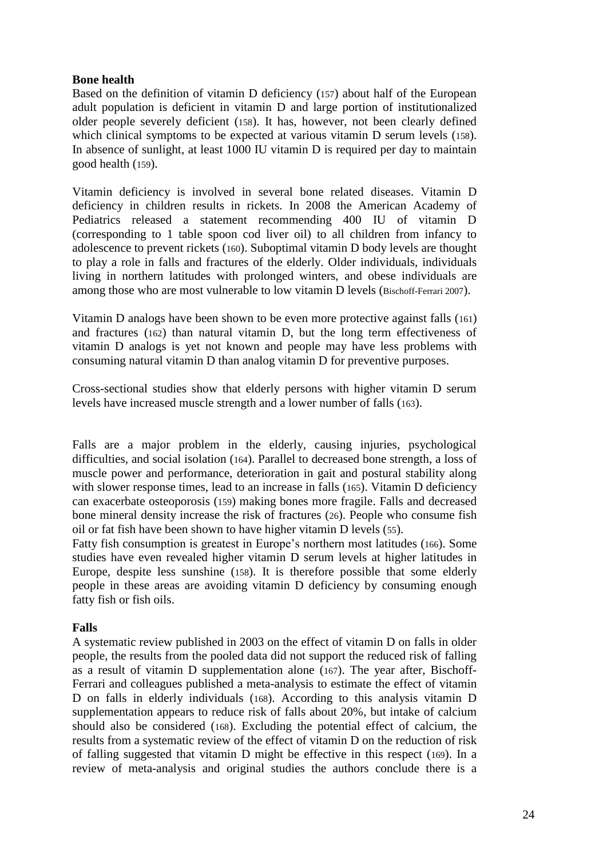## **Bone health**

Based on the definition of vitamin D deficiency (157) about half of the European adult population is deficient in vitamin D and large portion of institutionalized older people severely deficient (158). It has, however, not been clearly defined which clinical symptoms to be expected at various vitamin D serum levels (158). In absence of sunlight, at least 1000 IU vitamin D is required per day to maintain good health (159).

Vitamin deficiency is involved in several bone related diseases. Vitamin D deficiency in children results in rickets. In 2008 the American Academy of Pediatrics released a statement recommending 400 IU of vitamin D (corresponding to 1 table spoon cod liver oil) to all children from infancy to adolescence to prevent rickets (160). Suboptimal vitamin D body levels are thought to play a role in falls and fractures of the elderly. Older individuals, individuals living in northern latitudes with prolonged winters, and obese individuals are among those who are most vulnerable to low vitamin D levels (Bischoff-Ferrari 2007).

Vitamin D analogs have been shown to be even more protective against falls (161) and fractures (162) than natural vitamin D, but the long term effectiveness of vitamin D analogs is yet not known and people may have less problems with consuming natural vitamin D than analog vitamin D for preventive purposes.

Cross-sectional studies show that elderly persons with higher vitamin D serum levels have increased muscle strength and a lower number of falls (163).

Falls are a major problem in the elderly, causing injuries, psychological difficulties, and social isolation (164). Parallel to decreased bone strength, a loss of muscle power and performance, deterioration in gait and postural stability along with slower response times, lead to an increase in falls (165). Vitamin D deficiency can exacerbate osteoporosis (159) making bones more fragile. Falls and decreased bone mineral density increase the risk of fractures (26). People who consume fish oil or fat fish have been shown to have higher vitamin D levels (55).

Fatty fish consumption is greatest in Europe's northern most latitudes (166). Some studies have even revealed higher vitamin D serum levels at higher latitudes in Europe, despite less sunshine (158). It is therefore possible that some elderly people in these areas are avoiding vitamin D deficiency by consuming enough fatty fish or fish oils.

# **Falls**

A systematic review published in 2003 on the effect of vitamin D on falls in older people, the results from the pooled data did not support the reduced risk of falling as a result of vitamin D supplementation alone (167). The year after, Bischoff-Ferrari and colleagues published a meta-analysis to estimate the effect of vitamin D on falls in elderly individuals (168). According to this analysis vitamin D supplementation appears to reduce risk of falls about 20%, but intake of calcium should also be considered (168). Excluding the potential effect of calcium, the results from a systematic review of the effect of vitamin D on the reduction of risk of falling suggested that vitamin D might be effective in this respect (169). In a review of meta-analysis and original studies the authors conclude there is a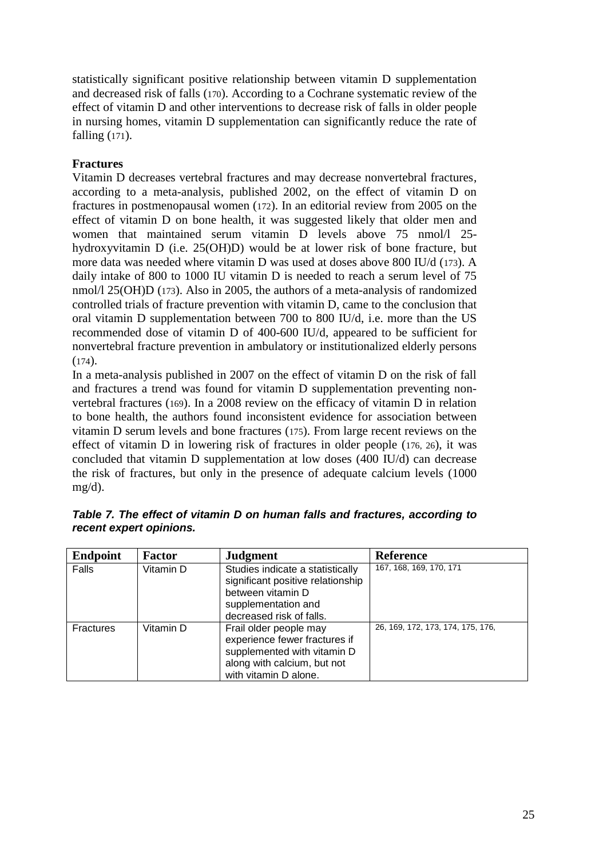statistically significant positive relationship between vitamin D supplementation and decreased risk of falls (170). According to a Cochrane systematic review of the effect of vitamin D and other interventions to decrease risk of falls in older people in nursing homes, vitamin D supplementation can significantly reduce the rate of falling (171).

# **Fractures**

Vitamin D decreases vertebral fractures and may decrease nonvertebral fractures, according to a meta-analysis, published 2002, on the effect of vitamin D on fractures in postmenopausal women (172). In an editorial review from 2005 on the effect of vitamin D on bone health, it was suggested likely that older men and women that maintained serum vitamin D levels above 75 nmol/l 25 hydroxyvitamin D (i.e. 25(OH)D) would be at lower risk of bone fracture, but more data was needed where vitamin D was used at doses above 800 IU/d (173). A daily intake of 800 to 1000 IU vitamin D is needed to reach a serum level of 75 nmol/l 25(OH)D (173). Also in 2005, the authors of a meta-analysis of randomized controlled trials of fracture prevention with vitamin D, came to the conclusion that oral vitamin D supplementation between 700 to 800 IU/d, i.e. more than the US recommended dose of vitamin D of 400-600 IU/d, appeared to be sufficient for nonvertebral fracture prevention in ambulatory or institutionalized elderly persons  $(174)$ .

In a meta-analysis published in 2007 on the effect of vitamin D on the risk of fall and fractures a trend was found for vitamin D supplementation preventing nonvertebral fractures (169). In a 2008 review on the efficacy of vitamin D in relation to bone health, the authors found inconsistent evidence for association between vitamin D serum levels and bone fractures (175). From large recent reviews on the effect of vitamin D in lowering risk of fractures in older people (176, 26), it was concluded that vitamin D supplementation at low doses (400 IU/d) can decrease the risk of fractures, but only in the presence of adequate calcium levels (1000 mg/d).

| <b>Endpoint</b>  | Factor    | <b>Judgment</b>                   | <b>Reference</b>                  |
|------------------|-----------|-----------------------------------|-----------------------------------|
| Falls            | Vitamin D | Studies indicate a statistically  | 167, 168, 169, 170, 171           |
|                  |           | significant positive relationship |                                   |
|                  |           | between vitamin D                 |                                   |
|                  |           | supplementation and               |                                   |
|                  |           | decreased risk of falls.          |                                   |
| <b>Fractures</b> | Vitamin D | Frail older people may            | 26, 169, 172, 173, 174, 175, 176, |
|                  |           | experience fewer fractures if     |                                   |
|                  |           | supplemented with vitamin D       |                                   |
|                  |           | along with calcium, but not       |                                   |
|                  |           | with vitamin D alone.             |                                   |

|                         |  |  |  | Table 7. The effect of vitamin D on human falls and fractures, according to |  |
|-------------------------|--|--|--|-----------------------------------------------------------------------------|--|
| recent expert opinions. |  |  |  |                                                                             |  |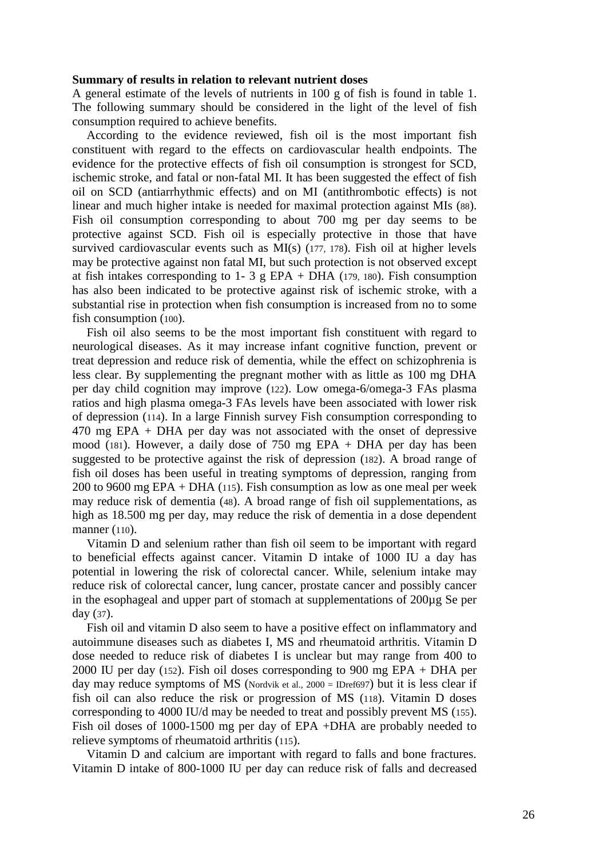#### **Summary of results in relation to relevant nutrient doses**

A general estimate of the levels of nutrients in 100 g of fish is found in table 1. The following summary should be considered in the light of the level of fish consumption required to achieve benefits.

According to the evidence reviewed, fish oil is the most important fish constituent with regard to the effects on cardiovascular health endpoints. The evidence for the protective effects of fish oil consumption is strongest for SCD, ischemic stroke, and fatal or non-fatal MI. It has been suggested the effect of fish oil on SCD (antiarrhythmic effects) and on MI (antithrombotic effects) is not linear and much higher intake is needed for maximal protection against MIs (88). Fish oil consumption corresponding to about 700 mg per day seems to be protective against SCD. Fish oil is especially protective in those that have survived cardiovascular events such as MI(s) (177, 178). Fish oil at higher levels may be protective against non fatal MI, but such protection is not observed except at fish intakes corresponding to 1- 3 g EPA + DHA (179, 180). Fish consumption has also been indicated to be protective against risk of ischemic stroke, with a substantial rise in protection when fish consumption is increased from no to some fish consumption (100).

Fish oil also seems to be the most important fish constituent with regard to neurological diseases. As it may increase infant cognitive function, prevent or treat depression and reduce risk of dementia, while the effect on schizophrenia is less clear. By supplementing the pregnant mother with as little as 100 mg DHA per day child cognition may improve (122). Low omega-6/omega-3 FAs plasma ratios and high plasma omega-3 FAs levels have been associated with lower risk of depression (114). In a large Finnish survey Fish consumption corresponding to 470 mg EPA + DHA per day was not associated with the onset of depressive mood (181). However, a daily dose of 750 mg EPA + DHA per day has been suggested to be protective against the risk of depression (182). A broad range of fish oil doses has been useful in treating symptoms of depression, ranging from 200 to 9600 mg EPA + DHA (115). Fish consumption as low as one meal per week may reduce risk of dementia (48). A broad range of fish oil supplementations, as high as 18.500 mg per day, may reduce the risk of dementia in a dose dependent manner (110).

Vitamin D and selenium rather than fish oil seem to be important with regard to beneficial effects against cancer. Vitamin D intake of 1000 IU a day has potential in lowering the risk of colorectal cancer. While, selenium intake may reduce risk of colorectal cancer, lung cancer, prostate cancer and possibly cancer in the esophageal and upper part of stomach at supplementations of 200µg Se per day (37).

Fish oil and vitamin D also seem to have a positive effect on inflammatory and autoimmune diseases such as diabetes I, MS and rheumatoid arthritis. Vitamin D dose needed to reduce risk of diabetes I is unclear but may range from 400 to 2000 IU per day (152). Fish oil doses corresponding to 900 mg EPA + DHA per day may reduce symptoms of MS (Nordvik et al., 2000 = IDref697) but it is less clear if fish oil can also reduce the risk or progression of MS (118). Vitamin D doses corresponding to 4000 IU/d may be needed to treat and possibly prevent MS (155). Fish oil doses of 1000-1500 mg per day of EPA +DHA are probably needed to relieve symptoms of rheumatoid arthritis (115).

Vitamin D and calcium are important with regard to falls and bone fractures. Vitamin D intake of 800-1000 IU per day can reduce risk of falls and decreased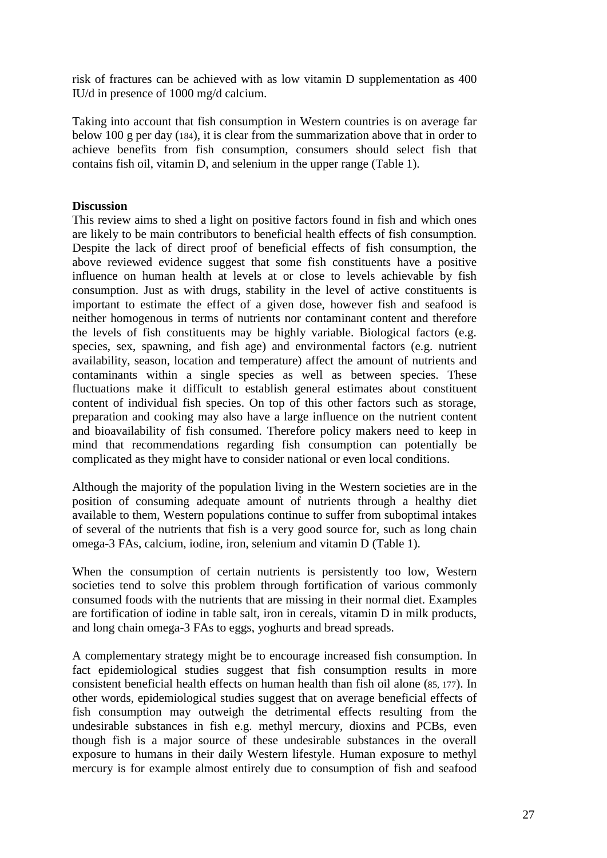risk of fractures can be achieved with as low vitamin D supplementation as 400 IU/d in presence of 1000 mg/d calcium.

Taking into account that fish consumption in Western countries is on average far below 100 g per day (184), it is clear from the summarization above that in order to achieve benefits from fish consumption, consumers should select fish that contains fish oil, vitamin D, and selenium in the upper range (Table 1).

#### **Discussion**

This review aims to shed a light on positive factors found in fish and which ones are likely to be main contributors to beneficial health effects of fish consumption. Despite the lack of direct proof of beneficial effects of fish consumption, the above reviewed evidence suggest that some fish constituents have a positive influence on human health at levels at or close to levels achievable by fish consumption. Just as with drugs, stability in the level of active constituents is important to estimate the effect of a given dose, however fish and seafood is neither homogenous in terms of nutrients nor contaminant content and therefore the levels of fish constituents may be highly variable. Biological factors (e.g. species, sex, spawning, and fish age) and environmental factors (e.g. nutrient availability, season, location and temperature) affect the amount of nutrients and contaminants within a single species as well as between species. These fluctuations make it difficult to establish general estimates about constituent content of individual fish species. On top of this other factors such as storage, preparation and cooking may also have a large influence on the nutrient content and bioavailability of fish consumed. Therefore policy makers need to keep in mind that recommendations regarding fish consumption can potentially be complicated as they might have to consider national or even local conditions.

Although the majority of the population living in the Western societies are in the position of consuming adequate amount of nutrients through a healthy diet available to them, Western populations continue to suffer from suboptimal intakes of several of the nutrients that fish is a very good source for, such as long chain omega-3 FAs, calcium, iodine, iron, selenium and vitamin D (Table 1).

When the consumption of certain nutrients is persistently too low, Western societies tend to solve this problem through fortification of various commonly consumed foods with the nutrients that are missing in their normal diet. Examples are fortification of iodine in table salt, iron in cereals, vitamin D in milk products, and long chain omega-3 FAs to eggs, yoghurts and bread spreads.

A complementary strategy might be to encourage increased fish consumption. In fact epidemiological studies suggest that fish consumption results in more consistent beneficial health effects on human health than fish oil alone (85, 177). In other words, epidemiological studies suggest that on average beneficial effects of fish consumption may outweigh the detrimental effects resulting from the undesirable substances in fish e.g. methyl mercury, dioxins and PCBs, even though fish is a major source of these undesirable substances in the overall exposure to humans in their daily Western lifestyle. Human exposure to methyl mercury is for example almost entirely due to consumption of fish and seafood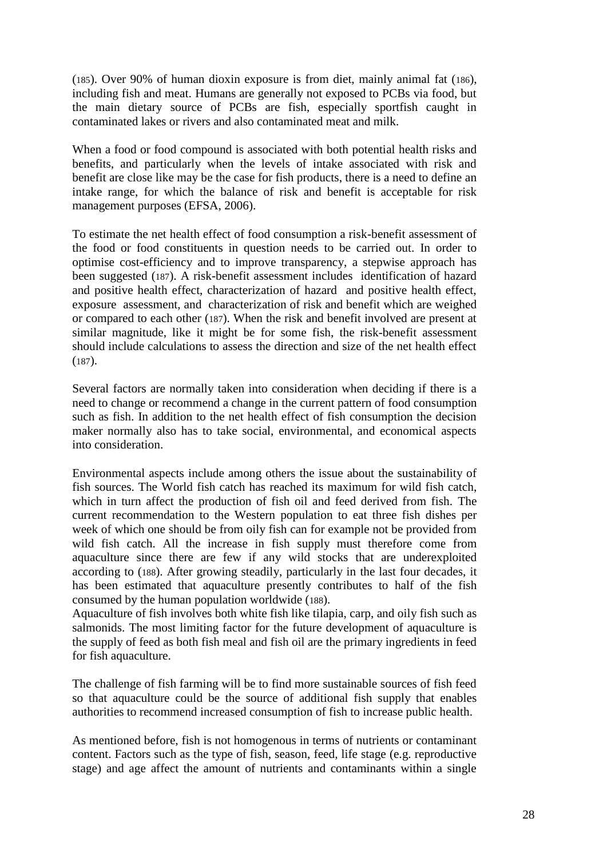(185). Over 90% of human dioxin exposure is from diet, mainly animal fat ([186](http://www.greenfacts.org/)), including fish and meat. Humans are generally not exposed to PCBs via food, but the main dietary source of PCBs are fish, especially sportfish caught in contaminated lakes or rivers and also contaminated meat and milk.

When a food or food compound is associated with both potential health risks and benefits, and particularly when the levels of intake associated with risk and benefit are close like may be the case for fish products, there is a need to define an intake range, for which the balance of risk and benefit is acceptable for risk management purposes (EFSA, 2006).

To estimate the net health effect of food consumption a risk-benefit assessment of the food or food constituents in question needs to be carried out. In order to optimise cost-efficiency and to improve transparency, a stepwise approach has been suggested (187). A risk-benefit assessment includes identification of hazard and positive health effect, characterization of hazard and positive health effect, exposure assessment, and characterization of risk and benefit which are weighed or compared to each other (187). When the risk and benefit involved are present at similar magnitude, like it might be for some fish, the risk-benefit assessment should include calculations to assess the direction and size of the net health effect  $(187)$ .

Several factors are normally taken into consideration when deciding if there is a need to change or recommend a change in the current pattern of food consumption such as fish. In addition to the net health effect of fish consumption the decision maker normally also has to take social, environmental, and economical aspects into consideration.

Environmental aspects include among others the issue about the sustainability of fish sources. The World fish catch has reached its maximum for wild fish catch, which in turn affect the production of fish oil and feed derived from fish. The current recommendation to the Western population to eat three fish dishes per week of which one should be from oily fish can for example not be provided from wild fish catch. All the increase in fish supply must therefore come from aquaculture since there are few if any wild stocks that are underexploited according to (188). After growing steadily, particularly in the last four decades, it has been estimated that aquaculture presently contributes to half of the fish consumed by the human population worldwide (188).

Aquaculture of fish involves both white fish like tilapia, carp, and oily fish such as salmonids. The most limiting factor for the future development of aquaculture is the supply of feed as both fish meal and fish oil are the primary ingredients in feed for fish aquaculture.

The challenge of fish farming will be to find more sustainable sources of fish feed so that aquaculture could be the source of additional fish supply that enables authorities to recommend increased consumption of fish to increase public health.

As mentioned before, fish is not homogenous in terms of nutrients or contaminant content. Factors such as the type of fish, season, feed, life stage (e.g. reproductive stage) and age affect the amount of nutrients and contaminants within a single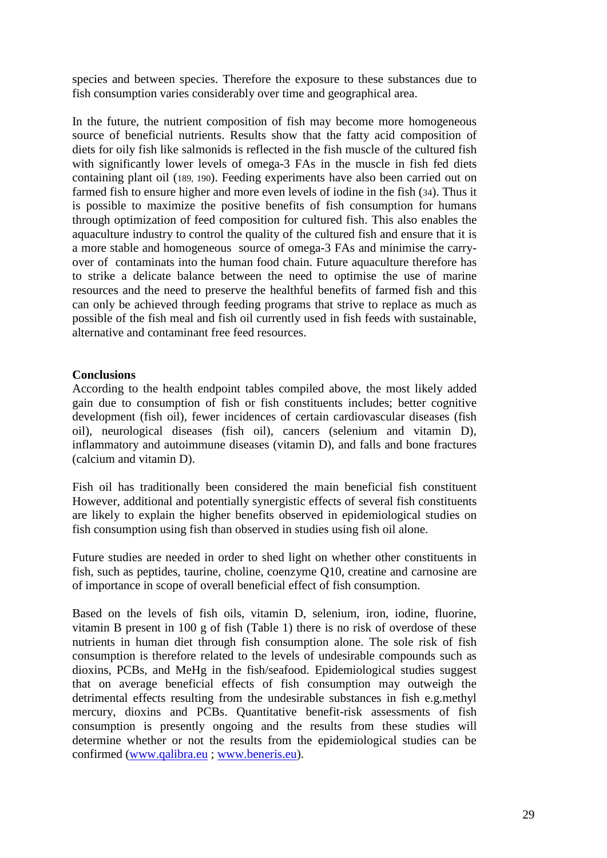species and between species. Therefore the exposure to these substances due to fish consumption varies considerably over time and geographical area.

In the future, the nutrient composition of fish may become more homogeneous source of beneficial nutrients. Results show that the fatty acid composition of diets for oily fish like salmonids is reflected in the fish muscle of the cultured fish with significantly lower levels of omega-3 FAs in the muscle in fish fed diets containing plant oil (189, 190). Feeding experiments have also been carried out on farmed fish to ensure higher and more even levels of iodine in the fish (34). Thus it is possible to maximize the positive benefits of fish consumption for humans through optimization of feed composition for cultured fish. This also enables the aquaculture industry to control the quality of the cultured fish and ensure that it is a more stable and homogeneous source of omega-3 FAs and minimise the carryover of contaminats into the human food chain. Future aquaculture therefore has to strike a delicate balance between the need to optimise the use of marine resources and the need to preserve the healthful benefits of farmed fish and this can only be achieved through feeding programs that strive to replace as much as possible of the fish meal and fish oil currently used in fish feeds with sustainable, alternative and contaminant free feed resources.

#### **Conclusions**

According to the health endpoint tables compiled above, the most likely added gain due to consumption of fish or fish constituents includes; better cognitive development (fish oil), fewer incidences of certain cardiovascular diseases (fish oil), neurological diseases (fish oil), cancers (selenium and vitamin D), inflammatory and autoimmune diseases (vitamin D), and falls and bone fractures (calcium and vitamin D).

Fish oil has traditionally been considered the main beneficial fish constituent However, additional and potentially synergistic effects of several fish constituents are likely to explain the higher benefits observed in epidemiological studies on fish consumption using fish than observed in studies using fish oil alone.

Future studies are needed in order to shed light on whether other constituents in fish, such as peptides, taurine, choline, coenzyme Q10, creatine and carnosine are of importance in scope of overall beneficial effect of fish consumption.

Based on the levels of fish oils, vitamin D, selenium, iron, iodine, fluorine, vitamin B present in 100 g of fish (Table 1) there is no risk of overdose of these nutrients in human diet through fish consumption alone. The sole risk of fish consumption is therefore related to the levels of undesirable compounds such as dioxins, PCBs, and MeHg in the fish/seafood. Epidemiological studies suggest that on average beneficial effects of fish consumption may outweigh the detrimental effects resulting from the undesirable substances in fish e.g.methyl mercury, dioxins and PCBs. Quantitative benefit-risk assessments of fish consumption is presently ongoing and the results from these studies will determine whether or not the results from the epidemiological studies can be confirmed [\(www.qalibra.eu](http://www.qalibra.eu/) ; [www.beneris.eu\)](http://www.beneris.eu/).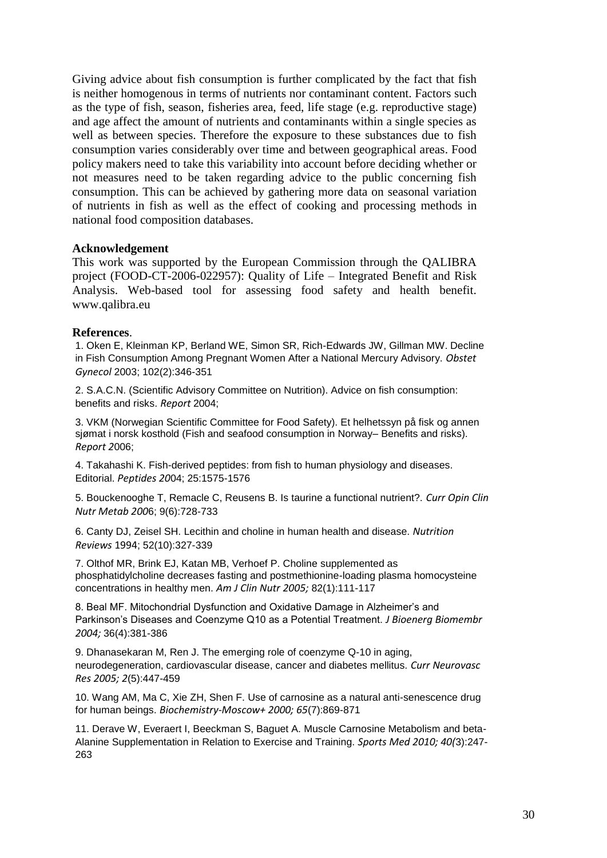Giving advice about fish consumption is further complicated by the fact that fish is neither homogenous in terms of nutrients nor contaminant content. Factors such as the type of fish, season, fisheries area, feed, life stage (e.g. reproductive stage) and age affect the amount of nutrients and contaminants within a single species as well as between species. Therefore the exposure to these substances due to fish consumption varies considerably over time and between geographical areas. Food policy makers need to take this variability into account before deciding whether or not measures need to be taken regarding advice to the public concerning fish consumption. This can be achieved by gathering more data on seasonal variation of nutrients in fish as well as the effect of cooking and processing methods in national food composition databases.

#### **Acknowledgement**

This work was supported by the European Commission through the QALIBRA project (FOOD-CT-2006-022957): Quality of Life – Integrated Benefit and Risk Analysis. Web-based tool for assessing food safety and health benefit. [www.qalibra.eu](http://www.qalibra.eu/)

#### **References**.

1. Oken E, Kleinman KP, Berland WE, Simon SR, Rich-Edwards JW, Gillman MW. Decline in Fish Consumption Among Pregnant Women After a National Mercury Advisory. *Obstet Gynecol* 2003; 102(2):346-351

2. S.A.C.N. (Scientific Advisory Committee on Nutrition). Advice on fish consumption: benefits and risks. *Report* 2004;

3. VKM (Norwegian Scientific Committee for Food Safety). Et helhetssyn på fisk og annen sjømat i norsk kosthold (Fish and seafood consumption in Norway– Benefits and risks). *Report 2*006;

4. Takahashi K. Fish-derived peptides: from fish to human physiology and diseases. Editorial. *Peptides 20*04; 25:1575-1576

5. Bouckenooghe T, Remacle C, Reusens B. Is taurine a functional nutrient?. *Curr Opin Clin Nutr Metab 200*6; 9(6):728-733

6. Canty DJ, Zeisel SH. Lecithin and choline in human health and disease. *Nutrition Reviews* 1994; 52(10):327-339

7. Olthof MR, Brink EJ, Katan MB, Verhoef P. Choline supplemented as phosphatidylcholine decreases fasting and postmethionine-loading plasma homocysteine concentrations in healthy men. *Am J Clin Nutr 2005;* 82(1):111-117

8. Beal MF. Mitochondrial Dysfunction and Oxidative Damage in Alzheimer's and Parkinson's Diseases and Coenzyme Q10 as a Potential Treatment. *J Bioenerg Biomembr 2004;* 36(4):381-386

9. Dhanasekaran M, Ren J. The emerging role of coenzyme Q-10 in aging, neurodegeneration, cardiovascular disease, cancer and diabetes mellitus. *Curr Neurovasc Res 2005; 2*(5):447-459

10. Wang AM, Ma C, Xie ZH, Shen F. Use of carnosine as a natural anti-senescence drug for human beings. *Biochemistry-Moscow+ 2000; 65*(7):869-871

11. Derave W, Everaert I, Beeckman S, Baguet A. Muscle Carnosine Metabolism and beta-Alanine Supplementation in Relation to Exercise and Training. *Sports Med 2010; 40(*3):247- 263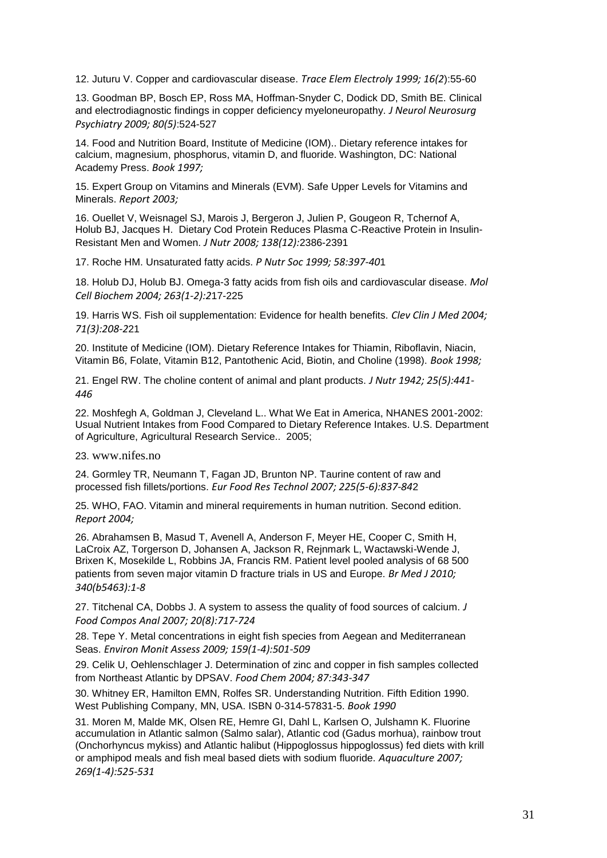12. Juturu V. Copper and cardiovascular disease. *Trace Elem Electroly 1999; 16(2*):55-60

13. Goodman BP, Bosch EP, Ross MA, Hoffman-Snyder C, Dodick DD, Smith BE. Clinical and electrodiagnostic findings in copper deficiency myeloneuropathy. *J Neurol Neurosurg Psychiatry 2009; 80(5)*:524-527

14. Food and Nutrition Board, Institute of Medicine (IOM).. Dietary reference intakes for calcium, magnesium, phosphorus, vitamin D, and fluoride. Washington, DC: National Academy Press. *Book 1997;* 

15. Expert Group on Vitamins and Minerals (EVM). Safe Upper Levels for Vitamins and Minerals. *Report 2003;* 

16. Ouellet V, Weisnagel SJ, Marois J, Bergeron J, Julien P, Gougeon R, Tchernof A, Holub BJ, Jacques H. Dietary Cod Protein Reduces Plasma C-Reactive Protein in Insulin-Resistant Men and Women. *J Nutr 2008; 138(12):*2386-2391

17. Roche HM. Unsaturated fatty acids. *P Nutr Soc 1999; 58:397-40*1

18. Holub DJ, Holub BJ. Omega-3 fatty acids from fish oils and cardiovascular disease. *Mol Cell Biochem 2004; 263(1-2):2*17-225

19. Harris WS. Fish oil supplementation: Evidence for health benefits. *Clev Clin J Med 2004; 71(3):208-2*21

20. Institute of Medicine (IOM). Dietary Reference Intakes for Thiamin, Riboflavin, Niacin, Vitamin B6, Folate, Vitamin B12, Pantothenic Acid, Biotin, and Choline (1998). *Book 1998;* 

21. Engel RW. The choline content of animal and plant products. *J Nutr 1942; 25(5):441- 446*

22. Moshfegh A, Goldman J, Cleveland L.. What We Eat in America, NHANES 2001-2002: Usual Nutrient Intakes from Food Compared to Dietary Reference Intakes. U.S. Department of Agriculture, Agricultural Research Service.. 2005;

23. www.nifes.no

24. Gormley TR, Neumann T, Fagan JD, Brunton NP. Taurine content of raw and processed fish fillets/portions. *Eur Food Res Technol 2007; 225(5-6):837-84*2

25. WHO, FAO. Vitamin and mineral requirements in human nutrition. Second edition. *Report 2004;* 

26. Abrahamsen B, Masud T, Avenell A, Anderson F, Meyer HE, Cooper C, Smith H, LaCroix AZ, Torgerson D, Johansen A, Jackson R, Rejnmark L, Wactawski-Wende J, Brixen K, Mosekilde L, Robbins JA, Francis RM. Patient level pooled analysis of 68 500 patients from seven major vitamin D fracture trials in US and Europe. *Br Med J 2010; 340(b5463):1-8*

27. Titchenal CA, Dobbs J. A system to assess the quality of food sources of calcium. *J Food Compos Anal 2007; 20(8):717-724*

28. Tepe Y. Metal concentrations in eight fish species from Aegean and Mediterranean Seas. *Environ Monit Assess 2009; 159(1-4):501-509*

29. Celik U, Oehlenschlager J. Determination of zinc and copper in fish samples collected from Northeast Atlantic by DPSAV. *Food Chem 2004; 87:343-347*

30. Whitney ER, Hamilton EMN, Rolfes SR. Understanding Nutrition. Fifth Edition 1990. West Publishing Company, MN, USA. ISBN 0-314-57831-5. *Book 1990*

31. Moren M, Malde MK, Olsen RE, Hemre GI, Dahl L, Karlsen O, Julshamn K. Fluorine accumulation in Atlantic salmon (Salmo salar), Atlantic cod (Gadus morhua), rainbow trout (Onchorhyncus mykiss) and Atlantic halibut (Hippoglossus hippoglossus) fed diets with krill or amphipod meals and fish meal based diets with sodium fluoride. *Aquaculture 2007; 269(1-4):525-531*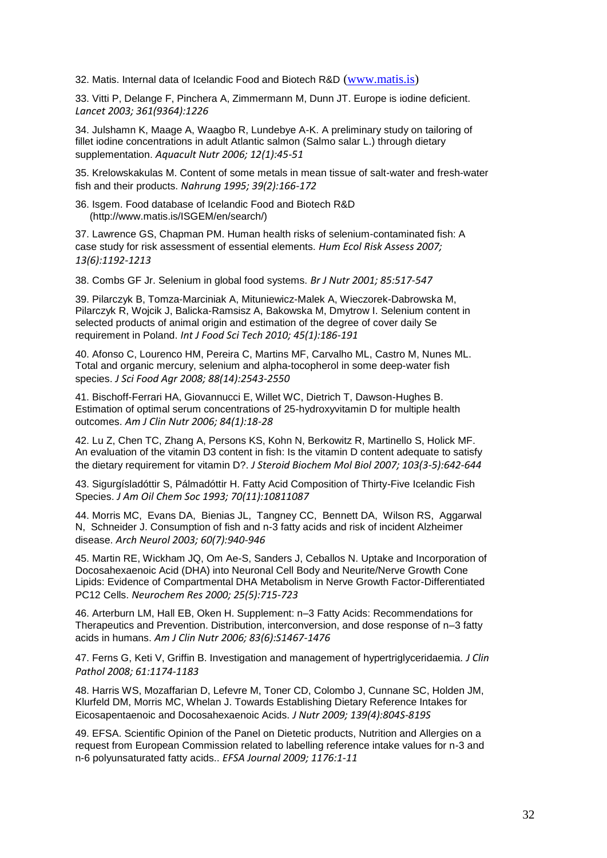32. Matis. Internal data of Icelandic Food and Biotech R&D [\(www.matis.is\)](http://www.matis.is/)

33. Vitti P, Delange F, Pinchera A, Zimmermann M, Dunn JT. Europe is iodine deficient. *Lancet 2003; 361(9364):1226*

34. Julshamn K, Maage A, Waagbo R, Lundebye A-K. A preliminary study on tailoring of fillet iodine concentrations in adult Atlantic salmon (Salmo salar L.) through dietary supplementation. *Aquacult Nutr 2006; 12(1):45-51*

35. Krelowskakulas M. Content of some metals in mean tissue of salt-water and fresh-water fish and their products. *Nahrung 1995; 39(2):166-172*

36. Isgem. Food database of Icelandic Food and Biotech R&D (http://www.matis.is/ISGEM/en/search/)

37. Lawrence GS, Chapman PM. Human health risks of selenium-contaminated fish: A case study for risk assessment of essential elements. *Hum Ecol Risk Assess 2007; 13(6):1192-1213*

38. Combs GF Jr. Selenium in global food systems. *Br J Nutr 2001; 85:517-547*

39. Pilarczyk B, Tomza-Marciniak A, Mituniewicz-Malek A, Wieczorek-Dabrowska M, Pilarczyk R, Wojcik J, Balicka-Ramsisz A, Bakowska M, Dmytrow I. Selenium content in selected products of animal origin and estimation of the degree of cover daily Se requirement in Poland. *Int J Food Sci Tech 2010; 45(1):186-191*

40. Afonso C, Lourenco HM, Pereira C, Martins MF, Carvalho ML, Castro M, Nunes ML. Total and organic mercury, selenium and alpha-tocopherol in some deep-water fish species. *J Sci Food Agr 2008; 88(14):2543-2550*

41. Bischoff-Ferrari HA, Giovannucci E, Willet WC, Dietrich T, Dawson-Hughes B. Estimation of optimal serum concentrations of 25-hydroxyvitamin D for multiple health outcomes. *Am J Clin Nutr 2006; 84(1):18-28*

42. Lu Z, Chen TC, Zhang A, Persons KS, Kohn N, Berkowitz R, Martinello S, Holick MF. An evaluation of the vitamin D3 content in fish: Is the vitamin D content adequate to satisfy the dietary requirement for vitamin D?. *J Steroid Biochem Mol Biol 2007; 103(3-5):642-644*

43. Sigurgísladóttir S, Pálmadóttir H. Fatty Acid Composition of Thirty-Five Icelandic Fish Species. *J Am Oil Chem Soc 1993; 70(11):10811087*

44. Morris MC, Evans DA, Bienias JL, Tangney CC, Bennett DA, Wilson RS, Aggarwal N, Schneider J. Consumption of fish and n-3 fatty acids and risk of incident Alzheimer disease. *Arch Neurol 2003; 60(7):940-946*

45. Martin RE, Wickham JQ, Om Ae-S, Sanders J, Ceballos N. Uptake and Incorporation of Docosahexaenoic Acid (DHA) into Neuronal Cell Body and Neurite/Nerve Growth Cone Lipids: Evidence of Compartmental DHA Metabolism in Nerve Growth Factor-Differentiated PC12 Cells. *Neurochem Res 2000; 25(5):715-723*

46. Arterburn LM, Hall EB, Oken H. Supplement: n–3 Fatty Acids: Recommendations for Therapeutics and Prevention. Distribution, interconversion, and dose response of n–3 fatty acids in humans. *Am J Clin Nutr 2006; 83(6):S1467-1476*

47. Ferns G, Keti V, Griffin B. Investigation and management of hypertriglyceridaemia. *J Clin Pathol 2008; 61:1174-1183*

48. Harris WS, Mozaffarian D, Lefevre M, Toner CD, Colombo J, Cunnane SC, Holden JM, Klurfeld DM, Morris MC, Whelan J. Towards Establishing Dietary Reference Intakes for Eicosapentaenoic and Docosahexaenoic Acids. *J Nutr 2009; 139(4):804S-819S*

49. EFSA. Scientific Opinion of the Panel on Dietetic products, Nutrition and Allergies on a request from European Commission related to labelling reference intake values for n-3 and n-6 polyunsaturated fatty acids.. *EFSA Journal 2009; 1176:1-11*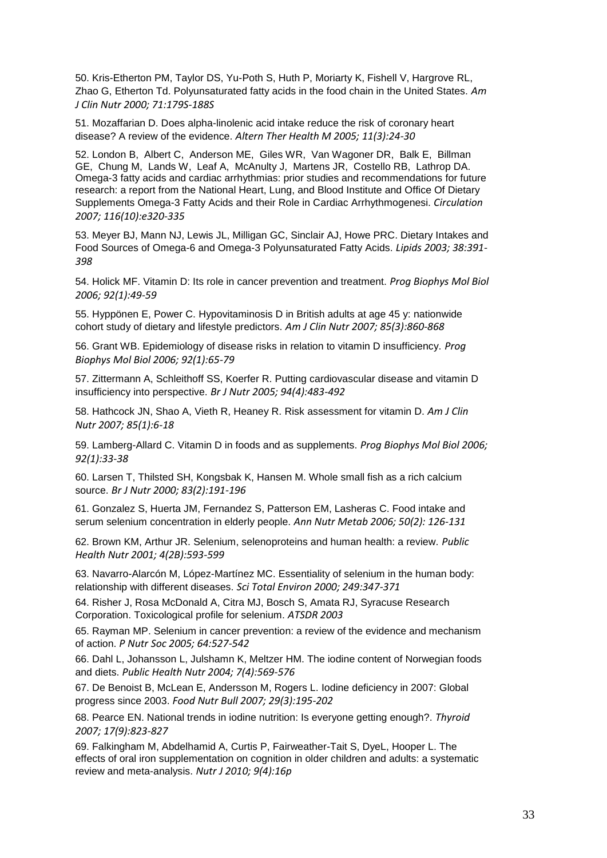50. Kris-Etherton PM, Taylor DS, Yu-Poth S, Huth P, Moriarty K, Fishell V, Hargrove RL, Zhao G, Etherton Td. Polyunsaturated fatty acids in the food chain in the United States. *Am J Clin Nutr 2000; 71:179S-188S*

51. Mozaffarian D. Does alpha-linolenic acid intake reduce the risk of coronary heart disease? A review of the evidence. *Altern Ther Health M 2005; 11(3):24-30*

52. London B, Albert C, Anderson ME, Giles WR, Van Wagoner DR, Balk E, Billman GE, Chung M, Lands W, Leaf A, McAnulty J, Martens JR, Costello RB, Lathrop DA. Omega-3 fatty acids and cardiac arrhythmias: prior studies and recommendations for future research: a report from the National Heart, Lung, and Blood Institute and Office Of Dietary Supplements Omega-3 Fatty Acids and their Role in Cardiac Arrhythmogenesi. *Circulation 2007; 116(10):e320-335*

53. Meyer BJ, Mann NJ, Lewis JL, Milligan GC, Sinclair AJ, Howe PRC. Dietary Intakes and Food Sources of Omega-6 and Omega-3 Polyunsaturated Fatty Acids. *Lipids 2003; 38:391- 398*

54. Holick MF. Vitamin D: Its role in cancer prevention and treatment. *Prog Biophys Mol Biol 2006; 92(1):49-59*

55. Hyppönen E, Power C. Hypovitaminosis D in British adults at age 45 y: nationwide cohort study of dietary and lifestyle predictors. *Am J Clin Nutr 2007; 85(3):860-868*

56. Grant WB. Epidemiology of disease risks in relation to vitamin D insufficiency. *Prog Biophys Mol Biol 2006; 92(1):65-79*

57. Zittermann A, Schleithoff SS, Koerfer R. Putting cardiovascular disease and vitamin D insufficiency into perspective. *Br J Nutr 2005; 94(4):483-492*

58. Hathcock JN, Shao A, Vieth R, Heaney R. Risk assessment for vitamin D. *Am J Clin Nutr 2007; 85(1):6-18*

59. Lamberg-Allard C. Vitamin D in foods and as supplements. *Prog Biophys Mol Biol 2006; 92(1):33-38*

60. Larsen T, Thilsted SH, Kongsbak K, Hansen M. Whole small fish as a rich calcium source. *Br J Nutr 2000; 83(2):191-196*

61. Gonzalez S, Huerta JM, Fernandez S, Patterson EM, Lasheras C. Food intake and serum selenium concentration in elderly people. *Ann Nutr Metab 2006; 50(2): 126-131*

62. Brown KM, Arthur JR. Selenium, selenoproteins and human health: a review. *Public Health Nutr 2001; 4(2B):593-599*

63. Navarro-Alarcón M, López-Martínez MC. Essentiality of selenium in the human body: relationship with different diseases. *Sci Total Environ 2000; 249:347-371*

64. Risher J, Rosa McDonald A, Citra MJ, Bosch S, Amata RJ, Syracuse Research Corporation. Toxicological profile for selenium. *ATSDR 2003*

65. Rayman MP. Selenium in cancer prevention: a review of the evidence and mechanism of action. *P Nutr Soc 2005; 64:527-542*

66. Dahl L, Johansson L, Julshamn K, Meltzer HM. The iodine content of Norwegian foods and diets. *Public Health Nutr 2004; 7(4):569-576*

67. De Benoist B, McLean E, Andersson M, Rogers L. Iodine deficiency in 2007: Global progress since 2003. *Food Nutr Bull 2007; 29(3):195-202*

68. Pearce EN. National trends in iodine nutrition: Is everyone getting enough?. *Thyroid 2007; 17(9):823-827*

69. Falkingham M, Abdelhamid A, Curtis P, Fairweather-Tait S, DyeL, Hooper L. The effects of oral iron supplementation on cognition in older children and adults: a systematic review and meta-analysis. *Nutr J 2010; 9(4):16p*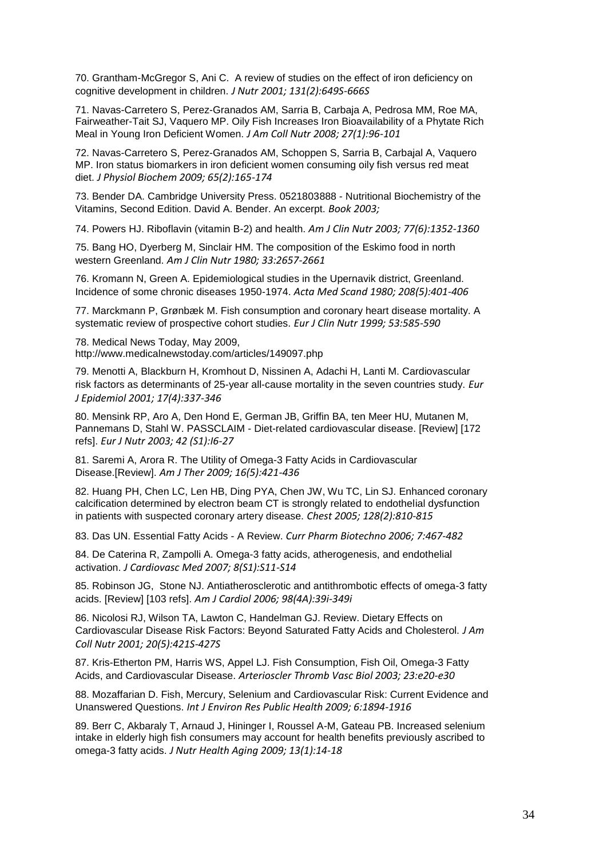70. Grantham-McGregor S, Ani C. A review of studies on the effect of iron deficiency on cognitive development in children. *J Nutr 2001; 131(2):649S-666S*

71. Navas-Carretero S, Perez-Granados AM, Sarria B, Carbaja A, Pedrosa MM, Roe MA, Fairweather-Tait SJ, Vaquero MP. Oily Fish Increases Iron Bioavailability of a Phytate Rich Meal in Young Iron Deficient Women. *J Am Coll Nutr 2008; 27(1):96-101*

72. Navas-Carretero S, Perez-Granados AM, Schoppen S, Sarria B, Carbajal A, Vaquero MP. Iron status biomarkers in iron deficient women consuming oily fish versus red meat diet. *J Physiol Biochem 2009; 65(2):165-174*

73. Bender DA. Cambridge University Press. 0521803888 - Nutritional Biochemistry of the Vitamins, Second Edition. David A. Bender. An excerpt. *Book 2003;* 

74. Powers HJ. Riboflavin (vitamin B-2) and health. *Am J Clin Nutr 2003; 77(6):1352-1360*

75. Bang HO, Dyerberg M, Sinclair HM. The composition of the Eskimo food in north western Greenland. *Am J Clin Nutr 1980; 33:2657-2661*

76. Kromann N, Green A. Epidemiological studies in the Upernavik district, Greenland. Incidence of some chronic diseases 1950-1974. *Acta Med Scand 1980; 208(5):401-406*

77. Marckmann P, Grønbæk M. Fish consumption and coronary heart disease mortality. A systematic review of prospective cohort studies. *Eur J Clin Nutr 1999; 53:585-590*

78. Medical News Today, May 2009, <http://www.medicalnewstoday.com/articles/149097.php>

79. Menotti A, Blackburn H, Kromhout D, Nissinen A, Adachi H, Lanti M. Cardiovascular risk factors as determinants of 25-year all-cause mortality in the seven countries study. *Eur J Epidemiol 2001; 17(4):337-346*

80. Mensink RP, Aro A, Den Hond E, German JB, Griffin BA, ten Meer HU, Mutanen M, Pannemans D, Stahl W. PASSCLAIM - Diet-related cardiovascular disease. [Review] [172 refs]. *Eur J Nutr 2003; 42 (S1):I6-27*

81. Saremi A, Arora R. The Utility of Omega-3 Fatty Acids in Cardiovascular Disease.[Review]. *Am J Ther 2009; 16(5):421-436*

82. Huang PH, Chen LC, Len HB, Ding PYA, Chen JW, Wu TC, Lin SJ. Enhanced coronary calcification determined by electron beam CT is strongly related to endothelial dysfunction in patients with suspected coronary artery disease. *Chest 2005; 128(2):810-815*

83. Das UN. Essential Fatty Acids - A Review. *Curr Pharm Biotechno 2006; 7:467-482*

84. De Caterina R, Zampolli A. Omega-3 fatty acids, atherogenesis, and endothelial activation. *J Cardiovasc Med 2007; 8(S1):S11-S14*

85. Robinson JG, Stone NJ. Antiatherosclerotic and antithrombotic effects of omega-3 fatty acids. [Review] [103 refs]. *Am J Cardiol 2006; 98(4A):39i-349i*

86. Nicolosi RJ, Wilson TA, Lawton C, Handelman GJ. Review. Dietary Effects on Cardiovascular Disease Risk Factors: Beyond Saturated Fatty Acids and Cholesterol. *J Am Coll Nutr 2001; 20(5):421S-427S*

87. Kris-Etherton PM, Harris WS, Appel LJ. Fish Consumption, Fish Oil, Omega-3 Fatty Acids, and Cardiovascular Disease. *Arterioscler Thromb Vasc Biol 2003; 23:e20-e30*

88. Mozaffarian D. Fish, Mercury, Selenium and Cardiovascular Risk: Current Evidence and Unanswered Questions. *Int J Environ Res Public Health 2009; 6:1894-1916*

89. Berr C, Akbaraly T, Arnaud J, Hininger I, Roussel A-M, Gateau PB. Increased selenium intake in elderly high fish consumers may account for health benefits previously ascribed to omega-3 fatty acids. *J Nutr Health Aging 2009; 13(1):14-18*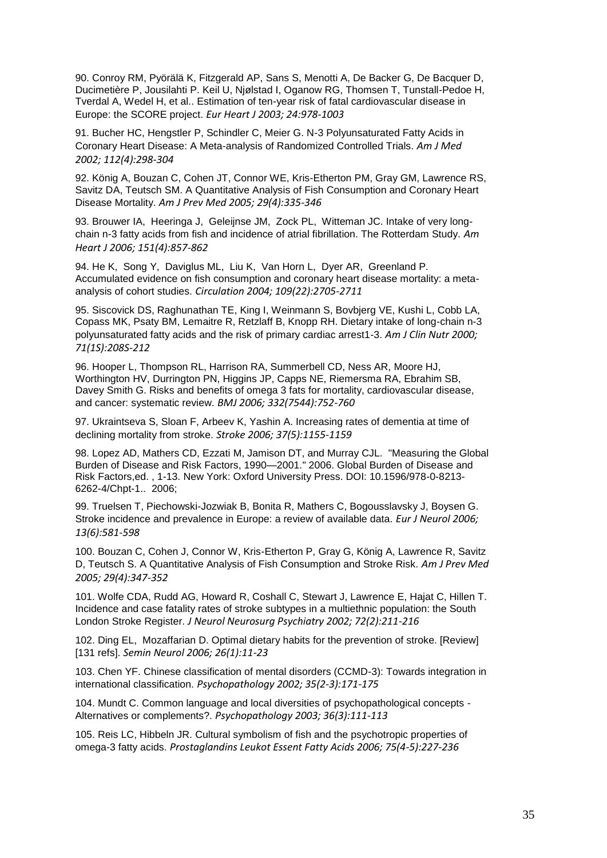90. Conroy RM, Pyörälä K, Fitzgerald AP, Sans S, Menotti A, De Backer G, De Bacquer D, Ducimetière P, Jousilahti P. Keil U, Njølstad I, Oganow RG, Thomsen T, Tunstall-Pedoe H, Tverdal A, Wedel H, et al.. Estimation of ten-year risk of fatal cardiovascular disease in Europe: the SCORE project. *Eur Heart J 2003; 24:978-1003*

91. Bucher HC, Hengstler P, Schindler C, Meier G. N-3 Polyunsaturated Fatty Acids in Coronary Heart Disease: A Meta-analysis of Randomized Controlled Trials. *Am J Med 2002; 112(4):298-304*

92. König A, Bouzan C, Cohen JT, Connor WE, Kris-Etherton PM, Gray GM, Lawrence RS, Savitz DA, Teutsch SM. A Quantitative Analysis of Fish Consumption and Coronary Heart Disease Mortality. *Am J Prev Med 2005; 29(4):335-346*

93. Brouwer IA, Heeringa J, Geleijnse JM, Zock PL, Witteman JC. Intake of very longchain n-3 fatty acids from fish and incidence of atrial fibrillation. The Rotterdam Study. *Am Heart J 2006; 151(4):857-862*

94. He K, Song Y, Daviglus ML, Liu K, Van Horn L, Dyer AR, Greenland P. Accumulated evidence on fish consumption and coronary heart disease mortality: a metaanalysis of cohort studies. *Circulation 2004; 109(22):2705-2711*

95. Siscovick DS, Raghunathan TE, King I, Weinmann S, Bovbjerg VE, Kushi L, Cobb LA, Copass MK, Psaty BM, Lemaitre R, Retzlaff B, Knopp RH. Dietary intake of long-chain n-3 polyunsaturated fatty acids and the risk of primary cardiac arrest1-3. *Am J Clin Nutr 2000; 71(1S):208S-212*

96. Hooper L, Thompson RL, Harrison RA, Summerbell CD, Ness AR, Moore HJ, Worthington HV, Durrington PN, Higgins JP, Capps NE, Riemersma RA, Ebrahim SB, Davey Smith G. Risks and benefits of omega 3 fats for mortality, cardiovascular disease, and cancer: systematic review. *BMJ 2006; 332(7544):752-760*

97. Ukraintseva S, Sloan F, Arbeev K, Yashin A. Increasing rates of dementia at time of declining mortality from stroke. *Stroke 2006; 37(5):1155-1159*

98. Lopez AD, Mathers CD, Ezzati M, Jamison DT, and Murray CJL. "Measuring the Global Burden of Disease and Risk Factors, 1990—2001." 2006. Global Burden of Disease and Risk Factors,ed. , 1-13. New York: Oxford University Press. DOI: 10.1596/978-0-8213- 6262-4/Chpt-1.. 2006;

99. Truelsen T, Piechowski-Jozwiak B, Bonita R, Mathers C, Bogousslavsky J, Boysen G. Stroke incidence and prevalence in Europe: a review of available data. *Eur J Neurol 2006; 13(6):581-598*

100. Bouzan C, Cohen J, Connor W, Kris-Etherton P, Gray G, König A, Lawrence R, Savitz D, Teutsch S. A Quantitative Analysis of Fish Consumption and Stroke Risk. *Am J Prev Med 2005; 29(4):347-352*

101. Wolfe CDA, Rudd AG, Howard R, Coshall C, Stewart J, Lawrence E, Hajat C, Hillen T. Incidence and case fatality rates of stroke subtypes in a multiethnic population: the South London Stroke Register. *J Neurol Neurosurg Psychiatry 2002; 72(2):211-216*

102. Ding EL, Mozaffarian D. Optimal dietary habits for the prevention of stroke. [Review] [131 refs]. *Semin Neurol 2006; 26(1):11-23*

103. Chen YF. Chinese classification of mental disorders (CCMD-3): Towards integration in international classification. *Psychopathology 2002; 35(2-3):171-175*

104. Mundt C. Common language and local diversities of psychopathological concepts - Alternatives or complements?. *Psychopathology 2003; 36(3):111-113*

105. Reis LC, Hibbeln JR. Cultural symbolism of fish and the psychotropic properties of omega-3 fatty acids. *Prostaglandins Leukot Essent Fatty Acids 2006; 75(4-5):227-236*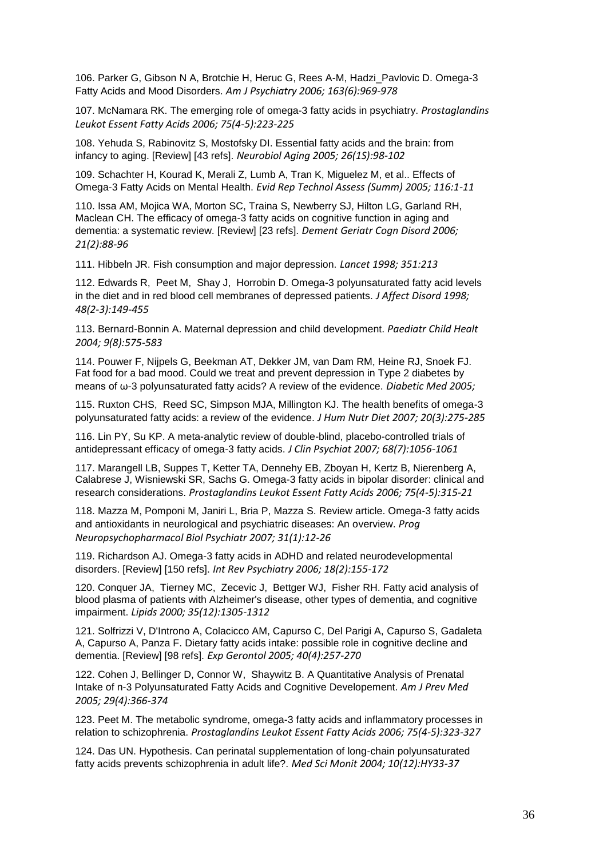106. Parker G, Gibson N A, Brotchie H, Heruc G, Rees A-M, Hadzi\_Pavlovic D. Omega-3 Fatty Acids and Mood Disorders. *Am J Psychiatry 2006; 163(6):969-978*

107. McNamara RK. The emerging role of omega-3 fatty acids in psychiatry. *Prostaglandins Leukot Essent Fatty Acids 2006; 75(4-5):223-225*

108. Yehuda S, Rabinovitz S, Mostofsky DI. Essential fatty acids and the brain: from infancy to aging. [Review] [43 refs]. *Neurobiol Aging 2005; 26(1S):98-102*

109. Schachter H, Kourad K, Merali Z, Lumb A, Tran K, Miguelez M, et al.. Effects of Omega-3 Fatty Acids on Mental Health. *Evid Rep Technol Assess (Summ) 2005; 116:1-11*

110. Issa AM, Mojica WA, Morton SC, Traina S, Newberry SJ, Hilton LG, Garland RH, Maclean CH. The efficacy of omega-3 fatty acids on cognitive function in aging and dementia: a systematic review. [Review] [23 refs]. *Dement Geriatr Cogn Disord 2006; 21(2):88-96*

111. Hibbeln JR. Fish consumption and major depression. *Lancet 1998; 351:213*

112. Edwards R, Peet M, Shay J, Horrobin D. Omega-3 polyunsaturated fatty acid levels in the diet and in red blood cell membranes of depressed patients. *J Affect Disord 1998; 48(2-3):149-455*

113. Bernard-Bonnin A. Maternal depression and child development. *Paediatr Child Healt 2004; 9(8):575-583*

114. Pouwer F, Nijpels G, Beekman AT, Dekker JM, van Dam RM, Heine RJ, Snoek FJ. Fat food for a bad mood. Could we treat and prevent depression in Type 2 diabetes by means of ω-3 polyunsaturated fatty acids? A review of the evidence. *Diabetic Med 2005;* 

115. Ruxton CHS, Reed SC, Simpson MJA, Millington KJ. The health benefits of omega-3 polyunsaturated fatty acids: a review of the evidence. *J Hum Nutr Diet 2007; 20(3):275-285*

116. Lin PY, Su KP. A meta-analytic review of double-blind, placebo-controlled trials of antidepressant efficacy of omega-3 fatty acids. *J Clin Psychiat 2007; 68(7):1056-1061*

117. Marangell LB, Suppes T, Ketter TA, Dennehy EB, Zboyan H, Kertz B, Nierenberg A, Calabrese J, Wisniewski SR, Sachs G. Omega-3 fatty acids in bipolar disorder: clinical and research considerations. *Prostaglandins Leukot Essent Fatty Acids 2006; 75(4-5):315-21*

118. Mazza M, Pomponi M, Janiri L, Bria P, Mazza S. Review article. Omega-3 fatty acids and antioxidants in neurological and psychiatric diseases: An overview. *Prog Neuropsychopharmacol Biol Psychiatr 2007; 31(1):12-26*

119. Richardson AJ. Omega-3 fatty acids in ADHD and related neurodevelopmental disorders. [Review] [150 refs]. *Int Rev Psychiatry 2006; 18(2):155-172*

120. Conquer JA, Tierney MC, Zecevic J, Bettger WJ, Fisher RH. Fatty acid analysis of blood plasma of patients with Alzheimer's disease, other types of dementia, and cognitive impairment. *Lipids 2000; 35(12):1305-1312*

121. Solfrizzi V, D'Introno A, Colacicco AM, Capurso C, Del Parigi A, Capurso S, Gadaleta A, Capurso A, Panza F. Dietary fatty acids intake: possible role in cognitive decline and dementia. [Review] [98 refs]. *Exp Gerontol 2005; 40(4):257-270*

122. Cohen J, Bellinger D, Connor W, Shaywitz B. A Quantitative Analysis of Prenatal Intake of n-3 Polyunsaturated Fatty Acids and Cognitive Developement. *Am J Prev Med 2005; 29(4):366-374*

123. Peet M. The metabolic syndrome, omega-3 fatty acids and inflammatory processes in relation to schizophrenia. *Prostaglandins Leukot Essent Fatty Acids 2006; 75(4-5):323-327*

124. Das UN. Hypothesis. Can perinatal supplementation of long-chain polyunsaturated fatty acids prevents schizophrenia in adult life?. *Med Sci Monit 2004; 10(12):HY33-37*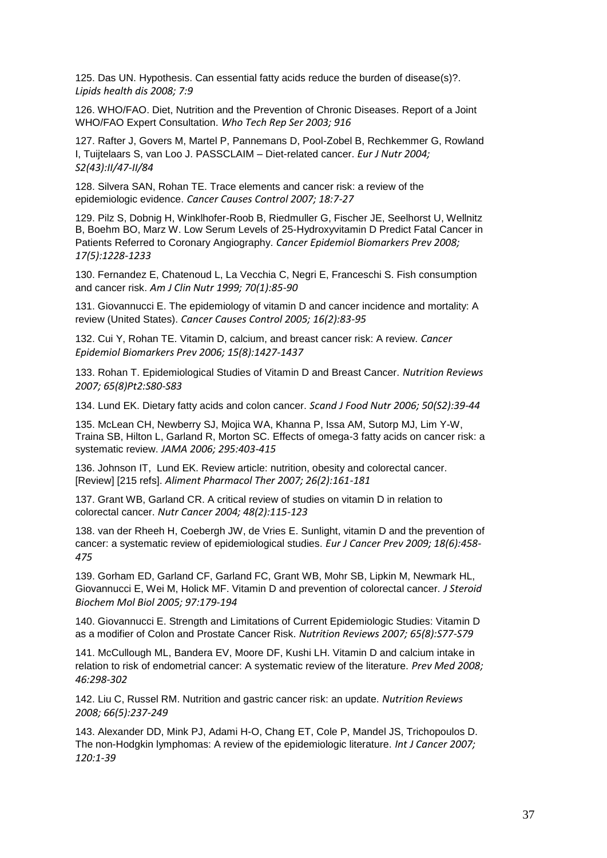125. Das UN. Hypothesis. Can essential fatty acids reduce the burden of disease(s)?. *Lipids health dis 2008; 7:9*

126. WHO/FAO. Diet, Nutrition and the Prevention of Chronic Diseases. Report of a Joint WHO/FAO Expert Consultation. *Who Tech Rep Ser 2003; 916*

127. Rafter J, Govers M, Martel P, Pannemans D, Pool-Zobel B, Rechkemmer G, Rowland I, Tuijtelaars S, van Loo J. PASSCLAIM – Diet-related cancer. *Eur J Nutr 2004; S2(43):II/47-II/84*

128. Silvera SAN, Rohan TE. Trace elements and cancer risk: a review of the epidemiologic evidence. *Cancer Causes Control 2007; 18:7-27*

129. Pilz S, Dobnig H, Winklhofer-Roob B, Riedmuller G, Fischer JE, Seelhorst U, Wellnitz B, Boehm BO, Marz W. Low Serum Levels of 25-Hydroxyvitamin D Predict Fatal Cancer in Patients Referred to Coronary Angiography. *Cancer Epidemiol Biomarkers Prev 2008; 17(5):1228-1233*

130. Fernandez E, Chatenoud L, La Vecchia C, Negri E, Franceschi S. Fish consumption and cancer risk. *Am J Clin Nutr 1999; 70(1):85-90*

131. Giovannucci E. The epidemiology of vitamin D and cancer incidence and mortality: A review (United States). *Cancer Causes Control 2005; 16(2):83-95*

132. Cui Y, Rohan TE. Vitamin D, calcium, and breast cancer risk: A review. *Cancer Epidemiol Biomarkers Prev 2006; 15(8):1427-1437*

133. Rohan T. Epidemiological Studies of Vitamin D and Breast Cancer. *Nutrition Reviews 2007; 65(8)Pt2:S80-S83*

134. Lund EK. Dietary fatty acids and colon cancer. *Scand J Food Nutr 2006; 50(S2):39-44*

135. McLean CH, Newberry SJ, Mojica WA, Khanna P, Issa AM, Sutorp MJ, Lim Y-W, Traina SB, Hilton L, Garland R, Morton SC. Effects of omega-3 fatty acids on cancer risk: a systematic review. *JAMA 2006; 295:403-415*

136. Johnson IT, Lund EK. Review article: nutrition, obesity and colorectal cancer. [Review] [215 refs]. *Aliment Pharmacol Ther 2007; 26(2):161-181*

137. Grant WB, Garland CR. A critical review of studies on vitamin D in relation to colorectal cancer. *Nutr Cancer 2004; 48(2):115-123*

138. van der Rheeh H, Coebergh JW, de Vries E. Sunlight, vitamin D and the prevention of cancer: a systematic review of epidemiological studies. *Eur J Cancer Prev 2009; 18(6):458- 475*

139. Gorham ED, Garland CF, Garland FC, Grant WB, Mohr SB, Lipkin M, Newmark HL, Giovannucci E, Wei M, Holick MF. Vitamin D and prevention of colorectal cancer. *J Steroid Biochem Mol Biol 2005; 97:179-194*

140. Giovannucci E. Strength and Limitations of Current Epidemiologic Studies: Vitamin D as a modifier of Colon and Prostate Cancer Risk. *Nutrition Reviews 2007; 65(8):S77-S79*

141. McCullough ML, Bandera EV, Moore DF, Kushi LH. Vitamin D and calcium intake in relation to risk of endometrial cancer: A systematic review of the literature. *Prev Med 2008; 46:298-302*

142. Liu C, Russel RM. Nutrition and gastric cancer risk: an update. *Nutrition Reviews 2008; 66(5):237-249*

143. Alexander DD, Mink PJ, Adami H-O, Chang ET, Cole P, Mandel JS, Trichopoulos D. The non-Hodgkin lymphomas: A review of the epidemiologic literature. *Int J Cancer 2007; 120:1-39*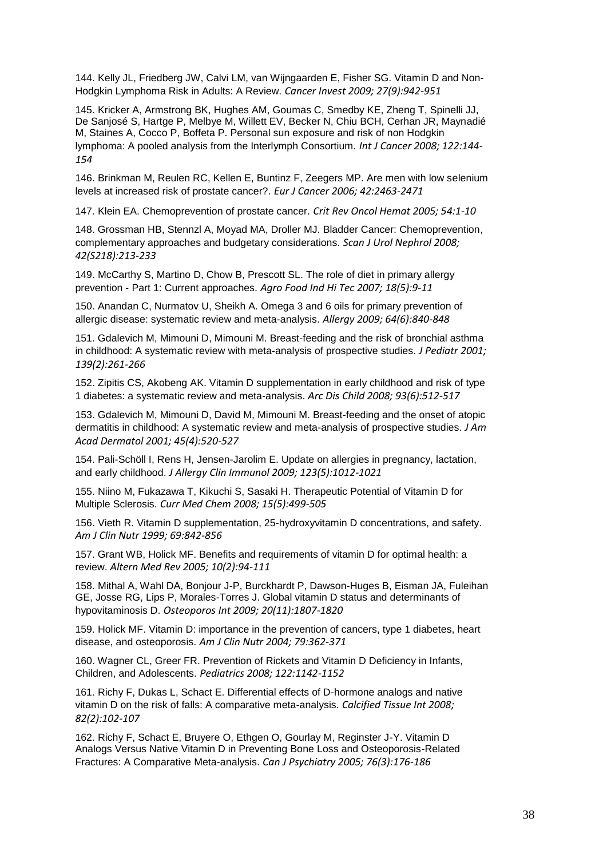144. Kelly JL, Friedberg JW, Calvi LM, van Wijngaarden E, Fisher SG. Vitamin D and Non-Hodgkin Lymphoma Risk in Adults: A Review. *Cancer Invest 2009; 27(9):942-951*

145. Kricker A, Armstrong BK, Hughes AM, Goumas C, Smedby KE, Zheng T, Spinelli JJ, De Sanjosé S, Hartge P, Melbye M, Willett EV, Becker N, Chiu BCH, Cerhan JR, Maynadié M, Staines A, Cocco P, Boffeta P. Personal sun exposure and risk of non Hodgkin lymphoma: A pooled analysis from the Interlymph Consortium. *Int J Cancer 2008; 122:144- 154*

146. Brinkman M, Reulen RC, Kellen E, Buntinz F, Zeegers MP. Are men with low selenium levels at increased risk of prostate cancer?. *Eur J Cancer 2006; 42:2463-2471*

147. Klein EA. Chemoprevention of prostate cancer. *Crit Rev Oncol Hemat 2005; 54:1-10*

148. Grossman HB, Stennzl A, Moyad MA, Droller MJ. Bladder Cancer: Chemoprevention, complementary approaches and budgetary considerations. *Scan J Urol Nephrol 2008; 42(S218):213-233*

149. McCarthy S, Martino D, Chow B, Prescott SL. The role of diet in primary allergy prevention - Part 1: Current approaches. *Agro Food Ind Hi Tec 2007; 18(5):9-11*

150. Anandan C, Nurmatov U, Sheikh A. Omega 3 and 6 oils for primary prevention of allergic disease: systematic review and meta-analysis. *Allergy 2009; 64(6):840-848*

151. Gdalevich M, Mimouni D, Mimouni M. Breast-feeding and the risk of bronchial asthma in childhood: A systematic review with meta-analysis of prospective studies. *J Pediatr 2001; 139(2):261-266*

152. Zipitis CS, Akobeng AK. Vitamin D supplementation in early childhood and risk of type 1 diabetes: a systematic review and meta-analysis. *Arc Dis Child 2008; 93(6):512-517*

153. Gdalevich M, Mimouni D, David M, Mimouni M. Breast-feeding and the onset of atopic dermatitis in childhood: A systematic review and meta-analysis of prospective studies. *J Am Acad Dermatol 2001; 45(4):520-527*

154. Pali-Schöll I, Rens H, Jensen-Jarolim E. Update on allergies in pregnancy, lactation, and early childhood. *J Allergy Clin Immunol 2009; 123(5):1012-1021*

155. Niino M, Fukazawa T, Kikuchi S, Sasaki H. Therapeutic Potential of Vitamin D for Multiple Sclerosis. *Curr Med Chem 2008; 15(5):499-505*

156. Vieth R. Vitamin D supplementation, 25-hydroxyvitamin D concentrations, and safety. *Am J Clin Nutr 1999; 69:842-856*

157. Grant WB, Holick MF. Benefits and requirements of vitamin D for optimal health: a review. *Altern Med Rev 2005; 10(2):94-111*

158. Mithal A, Wahl DA, Bonjour J-P, Burckhardt P, Dawson-Huges B, Eisman JA, Fuleihan GE, Josse RG, Lips P, Morales-Torres J. Global vitamin D status and determinants of hypovitaminosis D. *Osteoporos Int 2009; 20(11):1807-1820*

159. Holick MF. Vitamin D: importance in the prevention of cancers, type 1 diabetes, heart disease, and osteoporosis. *Am J Clin Nutr 2004; 79:362-371*

160. Wagner CL, Greer FR. Prevention of Rickets and Vitamin D Deficiency in Infants, Children, and Adolescents. *Pediatrics 2008; 122:1142-1152*

161. Richy F, Dukas L, Schact E. Differential effects of D-hormone analogs and native vitamin D on the risk of falls: A comparative meta-analysis. *Calcified Tissue Int 2008; 82(2):102-107*

162. Richy F, Schact E, Bruyere O, Ethgen O, Gourlay M, Reginster J-Y. Vitamin D Analogs Versus Native Vitamin D in Preventing Bone Loss and Osteoporosis-Related Fractures: A Comparative Meta-analysis. *Can J Psychiatry 2005; 76(3):176-186*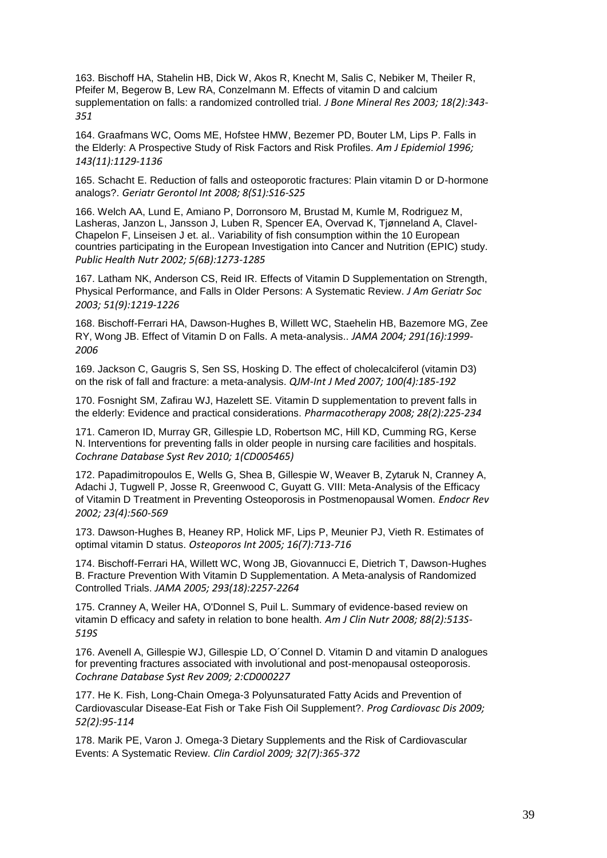163. Bischoff HA, Stahelin HB, Dick W, Akos R, Knecht M, Salis C, Nebiker M, Theiler R, Pfeifer M, Begerow B, Lew RA, Conzelmann M. Effects of vitamin D and calcium supplementation on falls: a randomized controlled trial. *J Bone Mineral Res 2003; 18(2):343- 351*

164. Graafmans WC, Ooms ME, Hofstee HMW, Bezemer PD, Bouter LM, Lips P. Falls in the Elderly: A Prospective Study of Risk Factors and Risk Profiles. *Am J Epidemiol 1996; 143(11):1129-1136*

165. Schacht E. Reduction of falls and osteoporotic fractures: Plain vitamin D or D-hormone analogs?. *Geriatr Gerontol Int 2008; 8(S1):S16-S25*

166. Welch AA, Lund E, Amiano P, Dorronsoro M, Brustad M, Kumle M, Rodriguez M, Lasheras, Janzon L, Jansson J, Luben R, Spencer EA, Overvad K, Tjønneland A, Clavel-Chapelon F, Linseisen J et. al.. Variability of fish consumption within the 10 European countries participating in the European Investigation into Cancer and Nutrition (EPIC) study. *Public Health Nutr 2002; 5(6B):1273-1285*

167. Latham NK, Anderson CS, Reid IR. Effects of Vitamin D Supplementation on Strength, Physical Performance, and Falls in Older Persons: A Systematic Review. *J Am Geriatr Soc 2003; 51(9):1219-1226*

168. Bischoff-Ferrari HA, Dawson-Hughes B, Willett WC, Staehelin HB, Bazemore MG, Zee RY, Wong JB. Effect of Vitamin D on Falls. A meta-analysis.. *JAMA 2004; 291(16):1999- 2006*

169. Jackson C, Gaugris S, Sen SS, Hosking D. The effect of cholecalciferol (vitamin D3) on the risk of fall and fracture: a meta-analysis. *QJM-Int J Med 2007; 100(4):185-192*

170. Fosnight SM, Zafirau WJ, Hazelett SE. Vitamin D supplementation to prevent falls in the elderly: Evidence and practical considerations. *Pharmacotherapy 2008; 28(2):225-234*

171. Cameron ID, Murray GR, Gillespie LD, Robertson MC, Hill KD, Cumming RG, Kerse N. Interventions for preventing falls in older people in nursing care facilities and hospitals. *Cochrane Database Syst Rev 2010; 1(CD005465)*

172. Papadimitropoulos E, Wells G, Shea B, Gillespie W, Weaver B, Zytaruk N, Cranney A, Adachi J, Tugwell P, Josse R, Greenwood C, Guyatt G. VIII: Meta-Analysis of the Efficacy of Vitamin D Treatment in Preventing Osteoporosis in Postmenopausal Women. *Endocr Rev 2002; 23(4):560-569*

173. Dawson-Hughes B, Heaney RP, Holick MF, Lips P, Meunier PJ, Vieth R. Estimates of optimal vitamin D status. *Osteoporos Int 2005; 16(7):713-716*

174. Bischoff-Ferrari HA, Willett WC, Wong JB, Giovannucci E, Dietrich T, Dawson-Hughes B. Fracture Prevention With Vitamin D Supplementation. A Meta-analysis of Randomized Controlled Trials. *JAMA 2005; 293(18):2257-2264*

175. Cranney A, Weiler HA, O'Donnel S, Puil L. Summary of evidence-based review on vitamin D efficacy and safety in relation to bone health. *Am J Clin Nutr 2008; 88(2):513S-519S*

176. Avenell A, Gillespie WJ, Gillespie LD, O´Connel D. Vitamin D and vitamin D analogues for preventing fractures associated with involutional and post-menopausal osteoporosis. *Cochrane Database Syst Rev 2009; 2:CD000227*

177. He K. Fish, Long-Chain Omega-3 Polyunsaturated Fatty Acids and Prevention of Cardiovascular Disease-Eat Fish or Take Fish Oil Supplement?. *Prog Cardiovasc Dis 2009; 52(2):95-114*

178. Marik PE, Varon J. Omega-3 Dietary Supplements and the Risk of Cardiovascular Events: A Systematic Review. *Clin Cardiol 2009; 32(7):365-372*